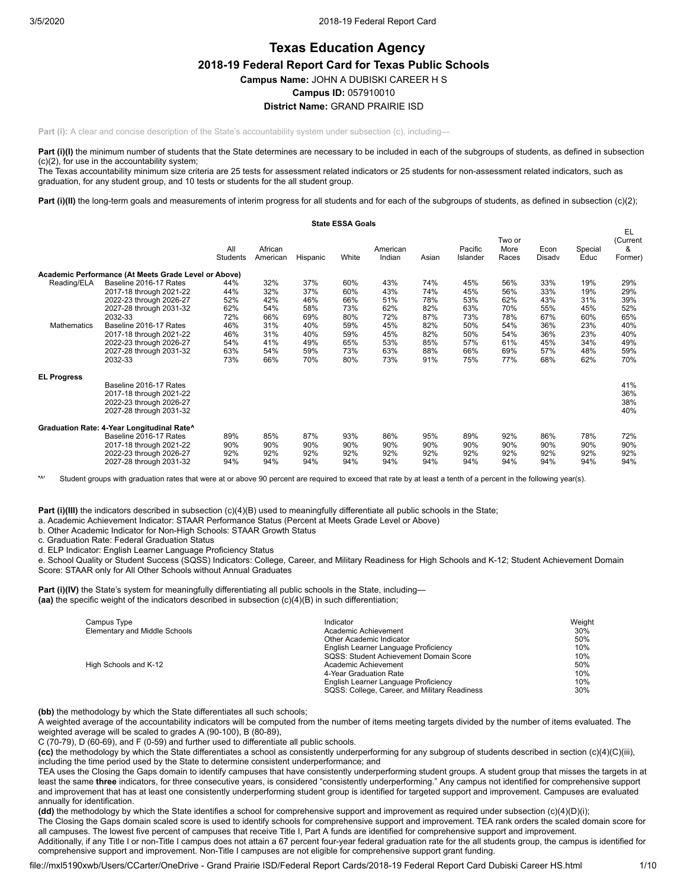# **Texas Education Agency 2018-19 Federal Report Card for Texas Public Schools Campus Name:** JOHN A DUBISKI CAREER H S **Campus ID:** 057910010 **District Name:** GRAND PRAIRIE ISD

**Part (i):** A clear and concise description of the State's accountability system under subsection (c), including—

Part (i)(I) the minimum number of students that the State determines are necessary to be included in each of the subgroups of students, as defined in subsection (c)(2), for use in the accountability system;

The Texas accountability minimum size criteria are 25 tests for assessment related indicators or 25 students for non-assessment related indicators, such as graduation, for any student group, and 10 tests or students for the all student group.

Part (i)(II) the long-term goals and measurements of interim progress for all students and for each of the subgroups of students, as defined in subsection (c)(2);

|                    |                                                      |                 |                     |          | <b>State ESSA Goals</b> |                    |       |                     |                         |                |                 |                                |
|--------------------|------------------------------------------------------|-----------------|---------------------|----------|-------------------------|--------------------|-------|---------------------|-------------------------|----------------|-----------------|--------------------------------|
|                    |                                                      | All<br>Students | African<br>American | Hispanic | White                   | American<br>Indian | Asian | Pacific<br>Islander | Two or<br>More<br>Races | Econ<br>Disadv | Special<br>Educ | EL<br>(Current<br>&<br>Former) |
|                    | Academic Performance (At Meets Grade Level or Above) |                 |                     |          |                         |                    |       |                     |                         |                |                 |                                |
| Reading/ELA        | Baseline 2016-17 Rates                               | 44%             | 32%                 | 37%      | 60%                     | 43%                | 74%   | 45%                 | 56%                     | 33%            | 19%             | 29%                            |
|                    | 2017-18 through 2021-22                              | 44%             | 32%                 | 37%      | 60%                     | 43%                | 74%   | 45%                 | 56%                     | 33%            | 19%             | 29%                            |
|                    | 2022-23 through 2026-27                              | 52%             | 42%                 | 46%      | 66%                     | 51%                | 78%   | 53%                 | 62%                     | 43%            | 31%             | 39%                            |
|                    | 2027-28 through 2031-32                              | 62%             | 54%                 | 58%      | 73%                     | 62%                | 82%   | 63%                 | 70%                     | 55%            | 45%             | 52%                            |
|                    | 2032-33                                              | 72%             | 66%                 | 69%      | 80%                     | 72%                | 87%   | 73%                 | 78%                     | 67%            | 60%             | 65%                            |
| Mathematics        | Baseline 2016-17 Rates                               | 46%             | 31%                 | 40%      | 59%                     | 45%                | 82%   | 50%                 | 54%                     | 36%            | 23%             | 40%                            |
|                    | 2017-18 through 2021-22                              | 46%             | 31%                 | 40%      | 59%                     | 45%                | 82%   | 50%                 | 54%                     | 36%            | 23%             | 40%                            |
|                    | 2022-23 through 2026-27                              | 54%             | 41%                 | 49%      | 65%                     | 53%                | 85%   | 57%                 | 61%                     | 45%            | 34%             | 49%                            |
|                    | 2027-28 through 2031-32                              | 63%             | 54%                 | 59%      | 73%                     | 63%                | 88%   | 66%                 | 69%                     | 57%            | 48%             | 59%                            |
|                    | 2032-33                                              | 73%             | 66%                 | 70%      | 80%                     | 73%                | 91%   | 75%                 | 77%                     | 68%            | 62%             | 70%                            |
| <b>EL Progress</b> |                                                      |                 |                     |          |                         |                    |       |                     |                         |                |                 |                                |
|                    | Baseline 2016-17 Rates                               |                 |                     |          |                         |                    |       |                     |                         |                |                 | 41%                            |
|                    | 2017-18 through 2021-22                              |                 |                     |          |                         |                    |       |                     |                         |                |                 | 36%                            |
|                    | 2022-23 through 2026-27                              |                 |                     |          |                         |                    |       |                     |                         |                |                 | 38%                            |
|                    | 2027-28 through 2031-32                              |                 |                     |          |                         |                    |       |                     |                         |                |                 | 40%                            |
|                    | Graduation Rate: 4-Year Longitudinal Rate^           |                 |                     |          |                         |                    |       |                     |                         |                |                 |                                |
|                    | Baseline 2016-17 Rates                               | 89%             | 85%                 | 87%      | 93%                     | 86%                | 95%   | 89%                 | 92%                     | 86%            | 78%             | 72%                            |
|                    | 2017-18 through 2021-22                              | 90%             | 90%                 | 90%      | 90%                     | 90%                | 90%   | 90%                 | 90%                     | 90%            | 90%             | 90%                            |
|                    | 2022-23 through 2026-27                              | 92%             | 92%                 | 92%      | 92%                     | 92%                | 92%   | 92%                 | 92%                     | 92%            | 92%             | 92%                            |
|                    | 2027-28 through 2031-32                              | 94%             | 94%                 | 94%      | 94%                     | 94%                | 94%   | 94%                 | 94%                     | 94%            | 94%             | 94%                            |

**'**^' Student groups with graduation rates that were at or above 90 percent are required to exceed that rate by at least a tenth of a percent in the following year(s).

**Part (i)(III)** the indicators described in subsection (c)(4)(B) used to meaningfully differentiate all public schools in the State;

a. Academic Achievement Indicator: STAAR Performance Status (Percent at Meets Grade Level or Above)

b. Other Academic Indicator for Non-High Schools: STAAR Growth Status

c. Graduation Rate: Federal Graduation Status

d. ELP Indicator: English Learner Language Proficiency Status

e. School Quality or Student Success (SQSS) Indicators: College, Career, and Military Readiness for High Schools and K-12; Student Achievement Domain Score: STAAR only for All Other Schools without Annual Graduates

**Part (i)(IV)** the State's system for meaningfully differentiating all public schools in the State, including— **(aa)** the specific weight of the indicators described in subsection (c)(4)(B) in such differentiation;

| Campus Type                   | Indicator                                     | Weight |
|-------------------------------|-----------------------------------------------|--------|
| Elementary and Middle Schools | Academic Achievement                          | 30%    |
|                               | Other Academic Indicator                      | 50%    |
|                               | English Learner Language Proficiency          | 10%    |
|                               | SQSS: Student Achievement Domain Score        | 10%    |
| High Schools and K-12         | Academic Achievement                          | 50%    |
|                               | 4-Year Graduation Rate                        | 10%    |
|                               | English Learner Language Proficiency          | 10%    |
|                               | SQSS: College, Career, and Military Readiness | 30%    |

**(bb)** the methodology by which the State differentiates all such schools;

A weighted average of the accountability indicators will be computed from the number of items meeting targets divided by the number of items evaluated. The weighted average will be scaled to grades A (90-100), B (80-89),

C (70-79), D (60-69), and F (0-59) and further used to differentiate all public schools.

**(cc)** the methodology by which the State differentiates a school as consistently underperforming for any subgroup of students described in section (c)(4)(C)(iii), including the time period used by the State to determine consistent underperformance; and

TEA uses the Closing the Gaps domain to identify campuses that have consistently underperforming student groups. A student group that misses the targets in at least the same **three** indicators, for three consecutive years, is considered "consistently underperforming." Any campus not identified for comprehensive support and improvement that has at least one consistently underperforming student group is identified for targeted support and improvement. Campuses are evaluated annually for identification.

**(dd)** the methodology by which the State identifies a school for comprehensive support and improvement as required under subsection (c)(4)(D)(i);

The Closing the Gaps domain scaled score is used to identify schools for comprehensive support and improvement. TEA rank orders the scaled domain score for all campuses. The lowest five percent of campuses that receive Title I, Part A funds are identified for comprehensive support and improvement.

Additionally, if any Title I or non-Title I campus does not attain a 67 percent four-year federal graduation rate for the all students group, the campus is identified for comprehensive support and improvement. Non-Title I campuses are not eligible for comprehensive support grant funding.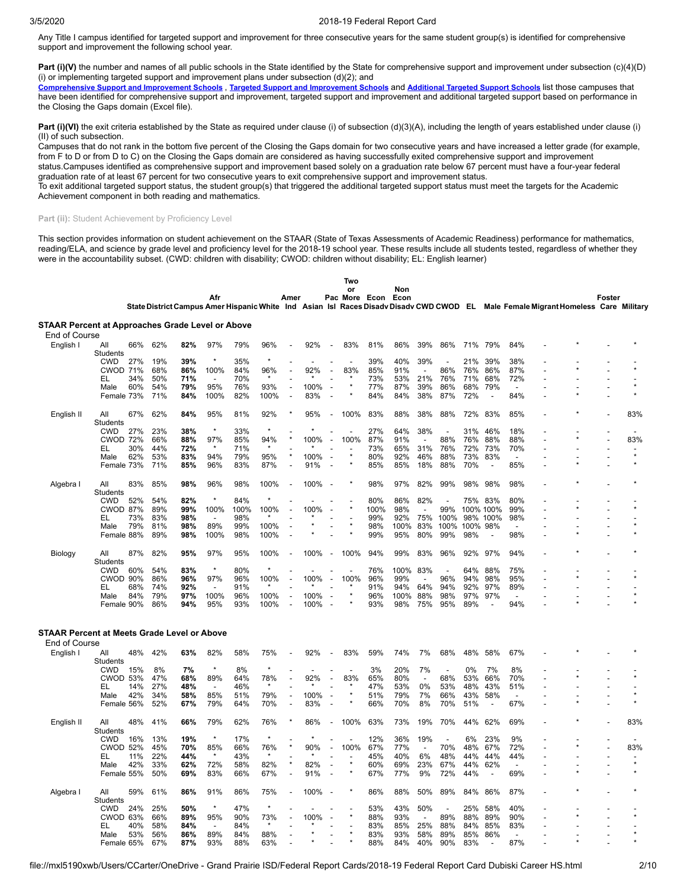Any Title I campus identified for targeted support and improvement for three consecutive years for the same student group(s) is identified for comprehensive support and improvement the following school year.

Part (i)(V) the number and names of all public schools in the State identified by the State for comprehensive support and improvement under subsection (c)(4)(D) (i) or implementing targeted support and improvement plans under subsection  $(d)(2)$ ; and

[Comprehensive](https://tea.texas.gov/sites/default/files/comprehensive_support_2019.xlsx) Support and [Improvement](https://tea.texas.gov/sites/default/files/target_support_2019.xlsx) Schools, Targeted Support and Improvement Schools and [Additional](https://tea.texas.gov/sites/default/files/additional_targeted_support_2019.xlsx) Targeted Support Schools list those campuses that have been identified for comprehensive support and improvement, targeted support and improvement and additional targeted support based on performance in the Closing the Gaps domain (Excel file).

**Part (i)(VI)** the exit criteria established by the State as required under clause (i) of subsection (d)(3)(A), including the length of years established under clause (i) (II) of such subsection.

Campuses that do not rank in the bottom five percent of the Closing the Gaps domain for two consecutive years and have increased a letter grade (for example, from F to D or from D to C) on the Closing the Gaps domain are considered as having successfully exited comprehensive support and improvement status.Campuses identified as comprehensive support and improvement based solely on a graduation rate below 67 percent must have a four-year federal

graduation rate of at least 67 percent for two consecutive years to exit comprehensive support and improvement status.

To exit additional targeted support status, the student group(s) that triggered the additional targeted support status must meet the targets for the Academic Achievement component in both reading and mathematics.

## Part (ii): Student Achievement by Proficiency Level

This section provides information on student achievement on the STAAR (State of Texas Assessments of Academic Readiness) performance for mathematics, reading/ELA, and science by grade level and proficiency level for the 2018-19 school year. These results include all students tested, regardless of whether they were in the accountability subset. (CWD: children with disability; CWOD: children without disability; EL: English learner)

|                                                              |                               |     |            |                                                                                                                                    |                                 |            |                 |                                                      |              |                          | Two     |               |             |                          |            |            |                          |                          |    |        |         |
|--------------------------------------------------------------|-------------------------------|-----|------------|------------------------------------------------------------------------------------------------------------------------------------|---------------------------------|------------|-----------------|------------------------------------------------------|--------------|--------------------------|---------|---------------|-------------|--------------------------|------------|------------|--------------------------|--------------------------|----|--------|---------|
|                                                              |                               |     |            |                                                                                                                                    |                                 |            |                 |                                                      |              |                          | or      |               | Non         |                          |            |            |                          |                          |    |        |         |
|                                                              |                               |     |            | State District Campus Amer Hispanic White Ind Asian Isl Races Disady Disady CWD CWOD EL Male Female Migrant Homeless Care Military | Afr                             |            |                 | Amer                                                 |              |                          |         | Pac More Econ | Econ        |                          |            |            |                          |                          |    | Foster |         |
| STAAR Percent at Approaches Grade Level or Above             |                               |     |            |                                                                                                                                    |                                 |            |                 |                                                      |              |                          |         |               |             |                          |            |            |                          |                          |    |        |         |
| End of Course                                                |                               |     |            |                                                                                                                                    |                                 |            |                 |                                                      |              |                          |         |               |             |                          |            |            |                          |                          |    |        |         |
| English I                                                    | All                           | 66% | 62%        | 82%                                                                                                                                | 97%                             | 79%        | 96%             |                                                      | 92%          |                          | 83%     | 81%           | 86%         | 39%                      | 86%        | 71%        | 79%                      | 84%                      |    |        |         |
|                                                              | Students                      |     |            |                                                                                                                                    |                                 |            | $\star$         |                                                      |              |                          |         |               |             |                          |            |            |                          |                          |    |        |         |
|                                                              | <b>CWD</b><br><b>CWOD 71%</b> | 27% | 19%<br>68% | 39%<br>86%                                                                                                                         | 100%                            | 35%<br>84% | 96%             |                                                      | 92%          | $\overline{a}$           | 83%     | 39%<br>85%    | 40%<br>91%  | 39%                      | 86%        | 21%<br>76% | 39%<br>86%               | 38%<br>87%               |    |        |         |
|                                                              | EL                            | 34% | 50%        | 71%                                                                                                                                |                                 | 70%        | $\star$         |                                                      |              |                          |         | 73%           | 53%         | 21%                      | 76%        | 71%        | 68%                      | 72%                      |    |        |         |
|                                                              | Male                          | 60% | 54%        | 79%                                                                                                                                | 95%                             | 76%        | 93%             | $\overline{\phantom{a}}$                             | 100%         | $\overline{\phantom{a}}$ |         | 77%           | 87%         | 39%                      | 86%        | 68%        | 79%                      | $\overline{\phantom{a}}$ |    |        |         |
|                                                              | Female 73%                    |     | 71%        | 84%                                                                                                                                | 100%                            | 82%        | 100%            | $\overline{\phantom{a}}$                             | 83%          |                          |         | 84%           | 84%         | 38%                      | 87%        | 72%        | $\blacksquare$           | 84%                      |    |        |         |
| English II                                                   | All                           | 67% | 62%        | 84%                                                                                                                                | 95%                             | 81%        | 92%             |                                                      | 95%          | $\overline{a}$           | 100%    | 83%           | 88%         | 38%                      | 88%        | 72%        | 83%                      | 85%                      |    |        | 83%     |
|                                                              | Students                      |     |            |                                                                                                                                    |                                 |            |                 |                                                      |              |                          |         |               |             |                          |            |            |                          |                          |    |        |         |
|                                                              | <b>CWD</b>                    | 27% | 23%        | 38%                                                                                                                                | $\star$                         | 33%        | $\star$         |                                                      |              |                          |         | 27%           | 64%         | 38%                      |            | 31%        | 46%                      | 18%                      |    |        |         |
|                                                              | <b>CWOD 72%</b>               |     | 66%        | 88%                                                                                                                                | 97%                             | 85%        | 94%             |                                                      | 100%         |                          | 100%    | 87%           | 91%         |                          | 88%        | 76%        | 88%                      | 88%                      |    |        | 83%     |
|                                                              | EL                            | 30% | 44%        | 72%                                                                                                                                |                                 | 71%        |                 |                                                      |              |                          |         | 73%           | 65%         | 31%                      | 76%        | 72%        | 73%                      | 70%                      |    |        |         |
|                                                              | Male                          | 62% | 53%        | 83%                                                                                                                                | 94%                             | 79%        | 95%             |                                                      | 100%         | $\overline{\phantom{a}}$ |         | 80%           | 92%         | 46%                      | 88%        | 73%        | 83%                      | ÷                        |    |        | $\star$ |
|                                                              | Female 73%                    |     | 71%        | 85%                                                                                                                                | 96%                             | 83%        | 87%             | $\overline{\phantom{a}}$                             | 91%          | ÷,                       |         | 85%           | 85%         | 18%                      | 88%        | 70%        | $\overline{\phantom{a}}$ | 85%                      |    |        |         |
| Algebra I                                                    | All                           | 83% | 85%        | 98%                                                                                                                                | 96%                             | 98%        | 100%            |                                                      | 100%         |                          |         | 98%           | 97%         | 82%                      | 99%        | 98%        | 98%                      | 98%                      |    |        |         |
|                                                              | Students<br><b>CWD</b>        | 52% | 54%        | 82%                                                                                                                                | $\star$                         | 84%        | $\star$         |                                                      |              |                          |         | 80%           | 86%         | 82%                      |            | 75%        | 83%                      | 80%                      |    |        |         |
|                                                              | <b>CWOD 87%</b>               |     | 89%        | 99%                                                                                                                                | 100%                            | 100%       | 100%            |                                                      | 100%         | $\overline{a}$           |         | 100%          | 98%         |                          | 99%        | 100% 100%  |                          | 99%                      |    |        |         |
|                                                              | EL                            | 73% | 83%        | 98%                                                                                                                                |                                 | 98%        |                 |                                                      |              |                          |         | 99%           | 92%         | 75%                      | 100%       |            | 98% 100%                 | 98%                      |    |        |         |
|                                                              | Male                          | 79% | 81%        | 98%                                                                                                                                | 89%                             | 99%        | 100%            |                                                      |              |                          |         | 98%           | 100%        | 83%                      | 100%       | 100%       | 98%                      | $\overline{a}$           |    |        |         |
|                                                              | Female 88%                    |     | 89%        | 98%                                                                                                                                | 100%                            | 98%        | 100%            |                                                      |              |                          |         | 99%           | 95%         | 80%                      | 99%        | 98%        | $\overline{\phantom{a}}$ | 98%                      |    |        |         |
|                                                              |                               |     |            |                                                                                                                                    |                                 |            |                 |                                                      |              |                          |         |               |             |                          |            |            |                          |                          |    |        |         |
| Biology                                                      | All<br>Students               | 87% | 82%        | 95%                                                                                                                                | 97%                             | 95%        | 100%<br>$\star$ |                                                      | 100%         | ÷.                       | 100%    | 94%           | 99%         | 83%                      | 96%        | 92%        | 97%                      | 94%                      |    |        |         |
|                                                              | <b>CWD</b>                    | 60% | 54%        | 83%                                                                                                                                | $\star$                         | 80%        |                 |                                                      |              |                          |         | 76%           | 100%        | 83%                      |            | 64%        | 88%                      | 75%                      |    |        |         |
|                                                              | <b>CWOD 90%</b>               |     | 86%        | 96%                                                                                                                                | 97%                             | 96%        | 100%            |                                                      | 100%         | ÷,                       | 100%    | 96%           | 99%         |                          | 96%        | 94%        | 98%                      | 95%                      |    |        |         |
|                                                              | EL                            | 68% | 74%        | 92%                                                                                                                                |                                 | 91%        |                 |                                                      |              |                          |         | 91%           | 94%         | 64%                      | 94%        | 92%        | 97%                      | 89%                      |    |        |         |
|                                                              | Male<br>Female 90%            | 84% | 79%<br>86% | 97%<br>94%                                                                                                                         | 100%<br>95%                     | 96%<br>93% | 100%<br>100%    | $\overline{\phantom{a}}$<br>$\overline{\phantom{a}}$ | 100%<br>100% | L.                       |         | 96%<br>93%    | 100%<br>98% | 88%<br>75%               | 98%<br>95% | 97%<br>89% | 97%<br>÷,                | $\overline{a}$<br>94%    |    |        |         |
|                                                              |                               |     |            |                                                                                                                                    |                                 |            |                 |                                                      |              |                          |         |               |             |                          |            |            |                          |                          |    |        |         |
| STAAR Percent at Meets Grade Level or Above<br>End of Course |                               |     |            |                                                                                                                                    |                                 |            |                 |                                                      |              |                          |         |               |             |                          |            |            |                          |                          |    |        |         |
| English I                                                    | All                           | 48% | 42%        | 63%                                                                                                                                | 82%                             | 58%        | 75%             |                                                      | 92%          |                          | 83%     | 59%           | 74%         | 7%                       | 68%        | 48%        | 58%                      | 67%                      |    |        |         |
|                                                              | Students                      |     |            |                                                                                                                                    |                                 |            |                 |                                                      |              |                          |         |               |             |                          |            |            |                          |                          |    |        |         |
|                                                              | <b>CWD</b>                    | 15% | 8%         | 7%                                                                                                                                 | $\star$                         | 8%         | $\star$         |                                                      |              |                          |         | 3%            | 20%         | 7%                       |            | 0%         | 7%                       | 8%                       |    |        |         |
|                                                              | <b>CWOD 53%</b>               |     | 47%        | 68%                                                                                                                                | 89%                             | 64%        | 78%             |                                                      | 92%          | $\overline{a}$           | 83%     | 65%           | 80%         | $\overline{a}$           | 68%        | 53%        | 66%                      | 70%                      |    |        |         |
|                                                              | EL                            | 14% | 27%        | 48%                                                                                                                                | -                               | 46%        | $\star$         |                                                      |              |                          |         | 47%           | 53%         | 0%                       | 53%        | 48%        | 43%                      | 51%                      |    |        |         |
|                                                              | Male                          | 42% | 34%        | 58%                                                                                                                                | 85%                             | 51%        | 79%             | $\overline{\phantom{a}}$                             | 100%         |                          |         | 51%           | 79%         | 7%                       | 66%        | 43%        | 58%                      |                          |    |        |         |
|                                                              | Female 56%                    |     | 52%        | 67%                                                                                                                                | 79%                             | 64%        | 70%             | $\overline{\phantom{a}}$                             | 83%          |                          |         | 66%           | 70%         | 8%                       | 70%        | 51%        | $\overline{\phantom{a}}$ | 67%                      |    |        |         |
| English II                                                   | All<br><b>Students</b>        | 48% | 41%        | 66%                                                                                                                                | 79%                             | 62%        | 76%             |                                                      | 86%          |                          | 100%    | 63%           | 73%         | 19%                      | 70%        | 44%        | 62%                      | 69%                      |    |        | 83%     |
|                                                              | <b>CWD</b>                    | 16% | 13%        | 19%                                                                                                                                | $\star$                         | 17%        | $\star$         |                                                      |              |                          |         | 12%           | 36%         | 19%                      |            | 6%         | 23%                      | 9%                       |    |        |         |
|                                                              | <b>CWOD 52%</b>               |     | 45%        | 70%                                                                                                                                | 85%                             | 66%        | 76%             |                                                      | 90%          | ÷,                       | 100%    | 67%           | 77%         | $\overline{\phantom{a}}$ | 70%        | 48%        | 67%                      | 72%                      |    |        | 83%     |
|                                                              | EL                            | 11% | 22%        | 44%                                                                                                                                |                                 | 43%        | $\star$         |                                                      |              |                          |         | 45%           | 40%         | 6%                       | 48%        | 44%        | 44%                      | 44%                      | L. |        |         |
|                                                              | Male                          | 42% | 33%        | 62%                                                                                                                                | 72%                             | 58%        | 82%             |                                                      | 82%          |                          | $\star$ | 60%           | 69%         | 23%                      | 67%        | 44%        | 62%                      |                          |    |        |         |
|                                                              | Female 55%                    |     | 50%        | 69%                                                                                                                                | 83%                             | 66%        | 67%             |                                                      | 91%          | ÷,                       |         | 67%           | 77%         | 9%                       | 72%        | 44%        | $\blacksquare$           | 69%                      |    |        |         |
| Algebra                                                      | All                           | 59% | 61%        | 86%                                                                                                                                | 91%                             | 86%        | 75%             |                                                      | 100%         |                          |         | 86%           | 88%         | 50%                      | 89%        | 84%        | 86%                      | 87%                      |    |        |         |
|                                                              | Students                      |     | 25%        | 50%                                                                                                                                | $\star$                         | 47%        | $\star$         |                                                      |              |                          |         |               |             | 50%                      |            |            |                          |                          |    |        |         |
|                                                              | <b>CWD</b>                    | 24% |            |                                                                                                                                    |                                 |            |                 |                                                      |              |                          |         | 53%           | 43%         | $\sim$                   | 89%        | 25%        | 58%                      | 40%                      |    |        |         |
|                                                              | CWOD 63%<br>EL                | 40% | 66%<br>58% | 89%<br>84%                                                                                                                         | 95%<br>$\overline{\phantom{a}}$ | 90%<br>84% | 73%<br>$\star$  |                                                      | 100%         |                          |         | 88%<br>83%    | 93%<br>85%  | 25%                      | 88%        | 88%<br>84% | 89%<br>85%               | 90%<br>83%               |    |        |         |
|                                                              | Male                          | 53% | 56%        | 86%                                                                                                                                | 89%                             | 84%        | 88%             |                                                      |              |                          |         | 83%           | 93%         | 58%                      | 89%        | 85%        | 86%                      |                          |    |        |         |
|                                                              | Female 65%                    |     | 67%        | 87%                                                                                                                                | 93%                             | 88%        | 63%             |                                                      |              |                          |         | 88%           | 84%         | 40%                      | 90%        | 83%        | $\overline{\phantom{a}}$ | 87%                      |    |        |         |
|                                                              |                               |     |            |                                                                                                                                    |                                 |            |                 |                                                      |              |                          |         |               |             |                          |            |            |                          |                          |    |        |         |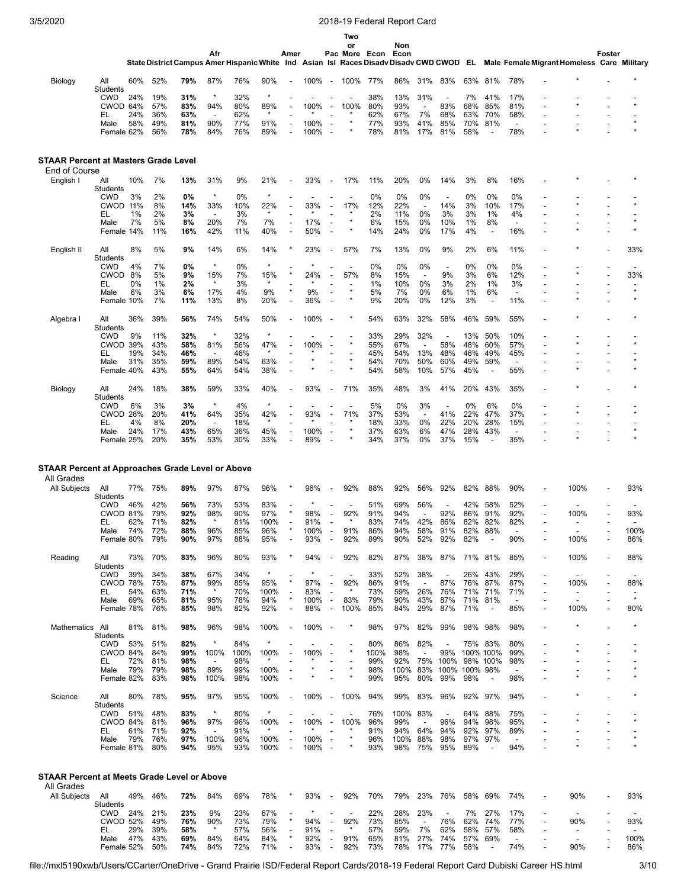|                                                                |                               |            |            |            |                                 |            |                 |                                  |              |                                                      | Two                             |            |             |                                 |                                 |            |                          |                                                                                                                                    |                          |                          |        |                |
|----------------------------------------------------------------|-------------------------------|------------|------------|------------|---------------------------------|------------|-----------------|----------------------------------|--------------|------------------------------------------------------|---------------------------------|------------|-------------|---------------------------------|---------------------------------|------------|--------------------------|------------------------------------------------------------------------------------------------------------------------------------|--------------------------|--------------------------|--------|----------------|
|                                                                |                               |            |            |            | Afr                             |            |                 | Amer                             |              |                                                      | or<br>Pac More Econ             |            | Non<br>Econ |                                 |                                 |            |                          |                                                                                                                                    |                          |                          | Foster |                |
|                                                                |                               |            |            |            |                                 |            |                 |                                  |              |                                                      |                                 |            |             |                                 |                                 |            |                          | State District Campus Amer Hispanic White Ind Asian Isl Races Disady Disady CWD CWOD EL Male Female Migrant Homeless Care Military |                          |                          |        |                |
| Biology                                                        | All<br>Students               | 60%        | 52%        | 79%        | 87%                             | 76%        | 90%             |                                  | 100%         | $\overline{\phantom{a}}$                             | 100%                            | 77%        | 86%         | 31%                             | 83%                             | 63%        | 81%                      | 78%                                                                                                                                |                          |                          |        |                |
|                                                                | <b>CWD</b>                    | 24%        | 19%        | 31%        | $\star$                         | 32%        | $\star$         |                                  |              |                                                      |                                 | 38%        | 13%         | 31%                             |                                 | 7%         | 41%                      | 17%                                                                                                                                |                          |                          |        |                |
|                                                                | CWOD 64%<br>EL                | 24%        | 57%<br>36% | 83%<br>63% | 94%<br>$\overline{\phantom{a}}$ | 80%<br>62% | 89%<br>$\star$  |                                  | 100%         |                                                      | 100%                            | 80%<br>62% | 93%<br>67%  | 7%                              | 83%<br>68%                      | 68%<br>63% | 85%<br>70%               | 81%<br>58%                                                                                                                         |                          |                          |        |                |
|                                                                | Male                          | 58%        | 49%        | 81%        | 90%                             | 77%        | 91%             |                                  | 100%         |                                                      |                                 | 77%        | 93%         | 41%                             | 85%                             | 70%        | 81%                      | $\overline{\phantom{a}}$                                                                                                           |                          |                          |        |                |
|                                                                | Female 62%                    |            | 56%        | 78%        | 84%                             | 76%        | 89%             |                                  | 100%         | $\overline{\phantom{a}}$                             |                                 | 78%        | 81%         | 17%                             | 81%                             | 58%        | $\overline{a}$           | 78%                                                                                                                                |                          |                          |        |                |
|                                                                |                               |            |            |            |                                 |            |                 |                                  |              |                                                      |                                 |            |             |                                 |                                 |            |                          |                                                                                                                                    |                          |                          |        |                |
| <b>STAAR Percent at Masters Grade Level</b><br>End of Course   |                               |            |            |            |                                 |            |                 |                                  |              |                                                      |                                 |            |             |                                 |                                 |            |                          |                                                                                                                                    |                          |                          |        |                |
| English I                                                      | All                           | 10%        | 7%         | 13%        | 31%                             | 9%         | 21%             |                                  | 33%          |                                                      | 17%                             | 11%        | 20%         | 0%                              | 14%                             | 3%         | 8%                       | 16%                                                                                                                                |                          |                          |        |                |
|                                                                | Students<br><b>CWD</b>        | 3%         | 2%         | 0%         | $\star$                         | 0%         | $\star$         |                                  |              |                                                      |                                 | 0%         | 0%          | 0%                              | $\overline{\phantom{a}}$        | 0%         | 0%                       | 0%                                                                                                                                 |                          |                          |        |                |
|                                                                | CWOD 11%                      |            | 8%         | 14%        | 33%                             | 10%        | 22%<br>$\star$  |                                  | 33%          |                                                      | 17%                             | 12%        | 22%         | $\overline{\phantom{a}}$        | 14%                             | 3%         | 10%                      | 17%                                                                                                                                |                          |                          |        |                |
|                                                                | EL<br>Male                    | 1%<br>7%   | 2%<br>5%   | 3%<br>8%   | $\blacksquare$<br>20%           | 3%<br>7%   | 7%              | L,                               | 17%          |                                                      |                                 | 2%<br>6%   | 11%<br>15%  | 0%<br>0%                        | 3%<br>10%                       | 3%<br>1%   | 1%<br>8%                 | 4%<br>$\overline{\phantom{a}}$                                                                                                     |                          |                          |        | $\star$        |
|                                                                | Female 14%                    |            | 11%        | 16%        | 42%                             | 11%        | 40%             |                                  | 50%          |                                                      |                                 | 14%        | 24%         | 0%                              | 17%                             | 4%         | $\blacksquare$           | 16%                                                                                                                                |                          |                          |        |                |
| English II                                                     | All<br><b>Students</b>        | 8%         | 5%         | 9%         | 14%                             | 6%         | 14%             |                                  | 23%          |                                                      | 57%                             | 7%         | 13%         | 0%                              | 9%                              | 2%         | 6%                       | 11%                                                                                                                                |                          |                          |        | 33%            |
|                                                                | <b>CWD</b><br><b>CWOD</b>     | 4%<br>8%   | 7%<br>5%   | 0%<br>9%   | $\star$<br>15%                  | 0%<br>7%   | 15%             |                                  | 24%          |                                                      | $\overline{\phantom{a}}$<br>57% | 0%<br>8%   | 0%<br>15%   | 0%<br>$\overline{\phantom{a}}$  | $\overline{\phantom{a}}$<br>9%  | 0%<br>3%   | 0%<br>6%                 | 0%<br>12%                                                                                                                          |                          |                          |        | 33%            |
|                                                                | EL                            | 0%         | 1%         | 2%         | $\star$                         | 3%         |                 |                                  |              |                                                      |                                 | 1%         | 10%         | 0%                              | 3%                              | 2%         | 1%                       | 3%                                                                                                                                 |                          |                          |        |                |
|                                                                | Male<br>Female 10%            | 6%         | 3%<br>7%   | 6%<br>11%  | 17%<br>13%                      | 4%<br>8%   | 9%<br>20%       | $\star$                          | 9%<br>36%    |                                                      |                                 | 5%<br>9%   | 7%<br>20%   | 0%<br>0%                        | 6%<br>12%                       | 1%<br>3%   | 6%<br>÷,                 | $\overline{\phantom{a}}$<br>11%                                                                                                    |                          |                          |        | $\star$        |
|                                                                |                               |            | 39%        |            |                                 | 54%        |                 |                                  |              |                                                      |                                 |            |             |                                 |                                 |            |                          |                                                                                                                                    |                          |                          |        |                |
| Algebra I                                                      | All<br>Students               | 36%        |            | 56%        | 74%<br>$\star$                  |            | 50%<br>$\star$  |                                  | 100%         |                                                      |                                 | 54%        | 63%         | 32%<br>32%                      | 58%                             | 46%        | 59%                      | 55%                                                                                                                                |                          |                          |        |                |
|                                                                | <b>CWD</b><br><b>CWOD 39%</b> | 9%         | 11%<br>43% | 32%<br>58% | 81%                             | 32%<br>56% | 47%             |                                  | 100%         |                                                      |                                 | 33%<br>55% | 29%<br>67%  | $\overline{a}$                  | 58%                             | 13%<br>48% | 50%<br>60%               | 10%<br>57%                                                                                                                         |                          |                          |        |                |
|                                                                | EL<br>Male                    | 19%<br>31% | 34%<br>35% | 46%<br>59% | $\overline{\phantom{a}}$<br>89% | 46%<br>54% | $\star$<br>63%  |                                  |              |                                                      |                                 | 45%<br>54% | 54%<br>70%  | 13%<br>50%                      | 48%<br>60%                      | 46%<br>49% | 49%<br>59%               | 45%<br>$\overline{\phantom{a}}$                                                                                                    |                          |                          |        |                |
|                                                                | Female 40%                    |            | 43%        | 55%        | 64%                             | 54%        | 38%             |                                  |              |                                                      |                                 | 54%        | 58%         | 10%                             | 57%                             | 45%        | $\overline{\phantom{a}}$ | 55%                                                                                                                                |                          |                          |        |                |
| Biology                                                        | All<br>Students               | 24%        | 18%        | 38%        | 59%                             | 33%        | 40%             |                                  | 93%          |                                                      | 71%                             | 35%        | 48%         | 3%                              | 41%                             | 20%        | 43%                      | 35%                                                                                                                                |                          |                          |        |                |
|                                                                | <b>CWD</b>                    | 6%         | 3%         | 3%         | $\star$                         | 4%         | $\star$         |                                  |              |                                                      |                                 | 5%         | 0%          | 3%                              |                                 | 0%         | 6%                       | 0%                                                                                                                                 |                          |                          |        |                |
|                                                                | <b>CWOD</b><br>EL             | 26%<br>4%  | 20%<br>8%  | 41%<br>20% | 64%<br>$\overline{\phantom{a}}$ | 35%<br>18% | 42%<br>$\star$  |                                  | 93%          |                                                      | 71%                             | 37%<br>18% | 53%<br>33%  | $\overline{\phantom{a}}$<br>0%  | 41%<br>22%                      | 22%<br>20% | 47%<br>28%               | 37%<br>15%                                                                                                                         |                          |                          |        |                |
|                                                                | Male                          | 24%        | 17%        | 43%        | 65%                             | 36%        | 45%             |                                  | 100%         |                                                      |                                 | 37%        | 63%         | 6%                              | 47%                             | 28%        | 43%                      | $\overline{\phantom{a}}$                                                                                                           |                          |                          |        |                |
|                                                                | Female 25%                    |            | 20%        | 35%        | 53%                             | 30%        | 33%             |                                  | 89%          |                                                      |                                 | 34%        | 37%         | 0%                              | 37%                             | 15%        |                          | 35%                                                                                                                                |                          |                          |        |                |
|                                                                |                               |            |            |            |                                 |            |                 |                                  |              |                                                      |                                 |            |             |                                 |                                 |            |                          |                                                                                                                                    |                          |                          |        |                |
| STAAR Percent at Approaches Grade Level or Above<br>All Grades |                               |            |            |            |                                 |            |                 |                                  |              |                                                      |                                 |            |             |                                 |                                 |            |                          |                                                                                                                                    |                          |                          |        |                |
| All Subjects                                                   | All                           | 77%        | 75%        | 89%        | 97%                             | 87%        | 96%             |                                  | 96%          |                                                      | 92%                             | 88%        | 92%         | 56%                             | 92%                             | 82%        | 88%                      | 90%                                                                                                                                |                          | 100%                     |        | 93%            |
|                                                                | Students<br><b>CWD</b>        | 46%        | 42%        | 56%        | 73%                             | 53%        | 83%             |                                  |              |                                                      |                                 | 51%        | 69%         | 56%                             |                                 | 42%        | 58%                      | 52%                                                                                                                                |                          |                          |        |                |
|                                                                | <b>CWOD 81%</b>               |            | 79%        | 92%        | 98%<br>$\star$                  | 90%        | 97%             |                                  | 98%          |                                                      | 92%                             | 91%        | 94%         |                                 | 92%                             | 86%        | 91%                      | 92%                                                                                                                                |                          | 100%                     |        | 93%            |
|                                                                | EL<br>Male                    | 62%<br>74% | 71%<br>72% | 82%<br>88% | 96%                             | 81%<br>85% | 100%<br>96%     |                                  | 91%<br>100%  | $\overline{\phantom{a}}$                             | 91%                             | 83%<br>86% | 74%<br>94%  | 42%<br>58%                      | 86%<br>91%                      | 82%<br>82% | 82%<br>88%               | 82%                                                                                                                                |                          |                          |        | 100%           |
|                                                                | Female 80%                    |            | 79%        | 90%        | 97%                             | 88%        | 95%             |                                  | 93%          | $\overline{\phantom{a}}$                             | 92%                             | 89%        | 90%         | 52%                             | 92%                             | 82%        |                          | 90%                                                                                                                                |                          | 100%                     |        | 86%            |
| Reading                                                        | All<br>Students               | 73%        | 70%        | 83%        | 96%                             | 80%        | 93%             |                                  | 94%          |                                                      | 92%                             | 82%        | 87%         | 38%                             | 87%                             | 71% 81%    |                          | 85%                                                                                                                                |                          | 100%                     |        | 88%            |
|                                                                | CWD<br>CWOD 78%               | 39%        | 34%<br>75% | 38%<br>87% | 67%<br>99%                      | 34%<br>85% | $\star$<br>95%  | ×                                | 97%          | $\overline{a}$                                       | 92%                             | 33%<br>86% | 52%<br>91%  | 38%<br>$\overline{\phantom{a}}$ | 87%                             | 26%<br>76% | 43%<br>87%               | 29%<br>87%                                                                                                                         | $\overline{a}$           | 100%                     |        | 88%            |
|                                                                | EL                            | 54%        | 63%        | 71%        | $\star$                         | 70%        | 100%            | $\overline{\phantom{a}}$         | 83%          | $\overline{\phantom{a}}$                             |                                 | 73%        | 59%         | 26%                             | 76%                             | 71%        | 71%                      | 71%                                                                                                                                | $\overline{\phantom{a}}$ | $\overline{\phantom{0}}$ |        |                |
|                                                                | Male<br>Female 78%            | 69%        | 65%<br>76% | 81%<br>85% | 95%<br>98%                      | 78%<br>82% | 94%<br>92%      | $\star$                          | 100%<br>88%  | $\overline{\phantom{a}}$<br>$\overline{\phantom{a}}$ | 83%<br>100%                     | 79%<br>85% | 90%<br>84%  | 43%<br>29%                      | 87%<br>87%                      | 71%<br>71% | 81%<br>$\blacksquare$    | $\overline{\phantom{a}}$<br>85%                                                                                                    |                          | 100%                     |        | $\star$<br>80% |
| Mathematics                                                    | All                           | 81%        | 81%        | 98%        | 96%                             | 98%        | 100%            |                                  | 100%         | $\overline{\phantom{a}}$                             |                                 | 98%        | 97%         | 82%                             | 99%                             | 98%        | 98%                      | 98%                                                                                                                                |                          |                          |        |                |
|                                                                | <b>Students</b><br><b>CWD</b> | 53%        | 51%        | 82%        | $\star$                         | 84%        |                 |                                  |              |                                                      |                                 | 80%        | 86%         | 82%                             | $\overline{\phantom{a}}$        |            | 75% 83%                  | 80%                                                                                                                                |                          |                          |        |                |
|                                                                | CWOD 84%                      |            | 84%        | 99%        | 100%                            | 100%       | 100%            | $\overline{\phantom{a}}$         | 100%         | $\overline{\phantom{a}}$                             |                                 | 100%       | 98%         | $\overline{\phantom{a}}$        | 99%                             |            | 100% 100%                | 99%                                                                                                                                |                          |                          |        |                |
|                                                                | EL<br>Male                    | 72%<br>79% | 81%<br>79% | 98%<br>98% | $\overline{\phantom{a}}$<br>89% | 98%<br>99% | 100%            | ÷,                               |              |                                                      |                                 | 99%<br>98% | 92%<br>100% | 75%<br>83%                      | 100%<br>100%                    | 100% 98%   | 98% 100%                 | 98%<br>$\overline{\phantom{a}}$                                                                                                    |                          |                          |        |                |
|                                                                | Female 82%                    |            | 83%        | 98%        | 100%                            | 98%        | 100%            |                                  |              |                                                      |                                 | 99%        | 95%         | 80%                             | 99%                             | 98%        | $\blacksquare$           | 98%                                                                                                                                |                          |                          |        |                |
| Science                                                        | All<br><b>Students</b>        | 80%        | 78%        | 95%        | 97%                             | 95%        | 100%            |                                  | 100%         | $\overline{\phantom{a}}$                             | 100%                            | 94%        | 99%         | 83%                             | 96%                             | 92%        | 97%                      | 94%                                                                                                                                |                          |                          |        |                |
|                                                                | <b>CWD</b><br>CWOD 84%        | 51%        | 48%<br>81% | 83%<br>96% | $\star$<br>97%                  | 80%<br>96% | $\star$<br>100% |                                  | 100%         | $\overline{\phantom{a}}$                             | 100%                            | 76%<br>96% | 100%<br>99% | 83%<br>$\overline{\phantom{a}}$ | $\overline{\phantom{a}}$<br>96% | 64%<br>94% | 88%<br>98%               | 75%<br>95%                                                                                                                         |                          |                          |        |                |
|                                                                | EL                            | 61%        | 71%        | 92%        | $\overline{\phantom{a}}$        | 91%        |                 |                                  |              |                                                      |                                 | 91%        | 94%         | 64%                             | 94%                             | 92%        | 97%                      | 89%                                                                                                                                |                          |                          |        |                |
|                                                                | Male<br>Female 81%            | 79%        | 76%<br>80% | 97%<br>94% | 100%<br>95%                     | 96%<br>93% | 100%<br>100%    | $\overline{a}$<br>$\blacksquare$ | 100%<br>100% | $\overline{\phantom{a}}$                             |                                 | 96%<br>93% | 100%<br>98% | 88%<br>75%                      | 98%<br>95%                      | 97%<br>89% | 97%<br>$\blacksquare$    | $\overline{\phantom{a}}$<br>94%                                                                                                    |                          |                          |        |                |
|                                                                |                               |            |            |            |                                 |            |                 |                                  |              |                                                      |                                 |            |             |                                 |                                 |            |                          |                                                                                                                                    |                          |                          |        |                |
| <b>STAAR Percent at Meets Grade Level or Above</b>             |                               |            |            |            |                                 |            |                 |                                  |              |                                                      |                                 |            |             |                                 |                                 |            |                          |                                                                                                                                    |                          |                          |        |                |
| All Grades<br><b>All Subjects</b>                              | All                           | 49%        | 46%        | 72%        | 84%                             | 69%        | 78%             |                                  | 93%          | $\overline{\phantom{a}}$                             | 92%                             | 70%        | 79%         | 23%                             | 76%                             | 58%        | 69%                      | 74%                                                                                                                                |                          | 90%                      |        | 93%            |
|                                                                | Students<br>CWD               | 24%        | 21%        | 23%        | 9%                              | 23%        | 67%             |                                  |              |                                                      |                                 | 22%        | 28%         | 23%                             |                                 | 7%         | 27%                      | 17%                                                                                                                                |                          |                          |        |                |
|                                                                | <b>CWOD 52%</b>               |            | 49%        | 76%        | 90%<br>$\star$                  | 73%        | 79%             |                                  | 94%          |                                                      | 92%                             | 73%        | 85%         | $\overline{\phantom{a}}$        | 76%                             | 62%        | 74%                      | 77%                                                                                                                                |                          | 90%                      |        | 93%            |
|                                                                | EL<br>Male                    | 29%<br>47% | 39%<br>43% | 58%<br>69% | 84%                             | 57%<br>64% | 56%<br>84%      |                                  | 91%<br>92%   | $\overline{\phantom{a}}$<br>÷,                       | 91%                             | 57%<br>65% | 59%<br>81%  | 7%<br>27%                       | 62%<br>74%                      | 58%<br>57% | 57%<br>69%               | 58%<br>$\blacksquare$                                                                                                              |                          | $\overline{a}$           |        | 100%           |
|                                                                | Female 52%                    |            | 50%        | 74%        | 84%                             | 72%        | 71%             |                                  | 93%          | $\overline{\phantom{a}}$                             | 92%                             | 73%        | 78%         | 17%                             | 77%                             | 58%        | $\overline{\phantom{a}}$ | 74%                                                                                                                                |                          | 90%                      |        | 86%            |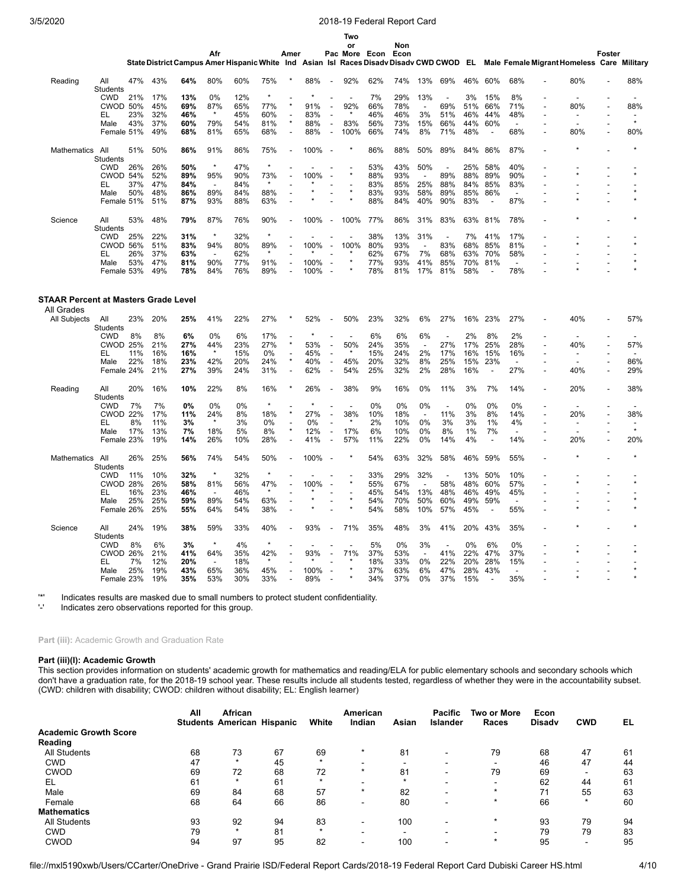|                            |                               |     |            |                                                                                         |                          |            |                |                          |         |                          | Two      |            |            |                          |                |            |                          |                                            |                |                          |        |         |
|----------------------------|-------------------------------|-----|------------|-----------------------------------------------------------------------------------------|--------------------------|------------|----------------|--------------------------|---------|--------------------------|----------|------------|------------|--------------------------|----------------|------------|--------------------------|--------------------------------------------|----------------|--------------------------|--------|---------|
|                            |                               |     |            |                                                                                         |                          |            |                |                          |         |                          | or       |            | Non        |                          |                |            |                          |                                            |                |                          |        |         |
|                            |                               |     |            | State District Campus Amer Hispanic White Ind Asian Isl Races Disady Disady CWD CWOD EL | Afr                      |            |                | Amer                     |         |                          | Pac More | Econ       | Econ       |                          |                |            |                          | Male Female Migrant Homeless Care Military |                |                          | Foster |         |
|                            |                               |     |            |                                                                                         |                          |            |                |                          |         |                          |          |            |            |                          |                |            |                          |                                            |                |                          |        |         |
| Reading                    | All                           | 47% | 43%        | 64%                                                                                     | 80%                      | 60%        | 75%            |                          | 88%     | $\overline{a}$           | 92%      | 62%        | 74%        | 13%                      | 69%            | 46%        | 60%                      | 68%                                        |                | 80%                      |        | 88%     |
|                            | Students<br><b>CWD</b>        | 21% | 17%        | 13%                                                                                     | 0%                       | 12%        | $\star$        |                          | $\star$ |                          |          | 7%         | 29%        | 13%                      | $\overline{a}$ | 3%         | 15%                      | 8%                                         |                |                          |        |         |
|                            | <b>CWOD 50%</b>               |     | 45%        | 69%                                                                                     | 87%                      | 65%        | 77%            |                          | 91%     | ÷,                       | 92%      | 66%        | 78%        | $\overline{\phantom{a}}$ | 69%            | 51%        | 66%                      | 71%                                        |                | 80%                      |        | 88%     |
|                            | EL                            | 23% | 32%        | 46%                                                                                     |                          | 45%        | 60%            | Ĭ.                       | 83%     | L,                       |          | 46%        | 46%        | 3%                       | 51%            | 46%        | 44%                      | 48%                                        |                | $\overline{a}$           |        |         |
|                            | Male                          | 43% | 37%        | 60%                                                                                     | 79%                      | 54%        | 81%            | $\star$                  | 88%     | $\overline{a}$           | 83%      | 56%        | 73%        | 15%                      | 66%            | 44%        | 60%                      |                                            |                |                          |        | $\star$ |
|                            | Female 51%                    |     | 49%        | 68%                                                                                     | 81%                      | 65%        | 68%            |                          | 88%     | $\blacksquare$           | 100%     | 66%        | 74%        | 8%                       | 71%            | 48%        | $\overline{a}$           | 68%                                        |                | 80%                      |        | 80%     |
|                            |                               |     |            |                                                                                         |                          |            |                |                          |         |                          |          |            |            |                          |                |            |                          |                                            |                |                          |        |         |
| <b>Mathematics</b>         | All                           | 51% | 50%        | 86%                                                                                     | 91%                      | 86%        | 75%            |                          | 100%    | $\overline{\phantom{a}}$ |          | 86%        | 88%        | 50%                      | 89%            | 84%        | 86%                      | 87%                                        |                |                          |        |         |
|                            | <b>Students</b><br><b>CWD</b> | 26% | 26%        | 50%                                                                                     | $\star$                  | 47%        | $\star$        |                          |         |                          |          | 53%        | 43%        | 50%                      |                | 25%        | 58%                      | 40%                                        |                |                          |        |         |
|                            | CWOD 54%                      |     | 52%        | 89%                                                                                     | 95%                      | 90%        | 73%            |                          | 100%    |                          |          | 88%        | 93%        | $\overline{a}$           | 89%            | 88%        | 89%                      | 90%                                        |                |                          |        |         |
|                            | EL                            | 37% | 47%        | 84%                                                                                     | $\overline{a}$           | 84%        | $\star$        |                          |         |                          |          | 83%        | 85%        | 25%                      | 88%            | 84%        | 85%                      | 83%                                        |                |                          |        |         |
|                            |                               |     |            |                                                                                         |                          |            |                |                          |         |                          |          |            |            |                          |                |            |                          |                                            |                |                          |        |         |
|                            | Male<br>Female 51%            | 50% | 48%<br>51% | 86%<br>87%                                                                              | 89%<br>93%               | 84%<br>88% | 88%<br>63%     |                          |         |                          |          | 83%<br>88% | 93%<br>84% | 58%<br>40%               | 89%<br>90%     | 85%<br>83% | 86%<br>$\blacksquare$    | 87%                                        |                |                          |        |         |
|                            |                               |     |            |                                                                                         |                          |            |                |                          |         |                          |          |            |            |                          |                |            |                          |                                            |                |                          |        |         |
| Science                    | All                           | 53% | 48%        | 79%                                                                                     | 87%                      | 76%        | 90%            |                          | 100%    | $\overline{\phantom{a}}$ | 100%     | 77%        | 86%        | 31%                      | 83%            | 63%        | 81%                      | 78%                                        |                |                          |        |         |
|                            | Students                      |     |            |                                                                                         | $\star$                  |            | $\star$        |                          |         |                          |          |            |            |                          |                |            |                          |                                            |                |                          |        |         |
|                            | <b>CWD</b>                    | 25% | 22%        | 31%                                                                                     |                          | 32%        |                |                          |         |                          |          | 38%        | 13%        | 31%                      |                | 7%         | 41%                      | 17%                                        |                |                          |        |         |
|                            | <b>CWOD 56%</b>               |     | 51%        | 83%                                                                                     | 94%                      | 80%        | 89%<br>$\star$ |                          | 100%    | $\overline{a}$           | 100%     | 80%        | 93%        | $\overline{\phantom{a}}$ | 83%            | 68%        | 85%                      | 81%                                        |                |                          |        |         |
|                            | EL                            | 26% | 37%        | 63%                                                                                     | $\overline{\phantom{a}}$ | 62%        |                |                          |         |                          |          | 62%        | 67%        | 7%                       | 68%            | 63%        | 70%                      | 58%                                        |                |                          |        |         |
|                            | Male                          | 53% | 47%        | 81%                                                                                     | 90%                      | 77%        | 91%            |                          | 100%    |                          |          | 77%        | 93%        | 41%                      | 85%            | 70%        | 81%                      |                                            |                |                          |        |         |
|                            | Female 53%                    |     | 49%        | 78%                                                                                     | 84%                      | 76%        | 89%            |                          | 100%    | Ĭ.                       |          | 78%        | 81%        | 17%                      | 81%            | 58%        | ÷,                       | 78%                                        |                |                          |        |         |
| All Grades<br>All Subjects | All                           | 23% | 20%        | 25%                                                                                     | 41%                      | 22%        | 27%            |                          | 52%     | $\overline{\phantom{a}}$ | 50%      | 23%        | 32%        | 6%                       | 27%            | 16%        | 23%                      | 27%                                        |                | 40%                      |        | 57%     |
|                            | Students<br><b>CWD</b>        | 8%  | 8%         | 6%                                                                                      | 0%                       | 6%         | 17%            |                          | ×       |                          |          | 6%         | 6%         | 6%                       | $\overline{a}$ | 2%         | 8%                       | 2%                                         |                |                          |        |         |
|                            | <b>CWOD 25%</b>               |     | 21%        | 27%                                                                                     | 44%                      | 23%        | 27%            |                          | 53%     |                          | 50%      | 24%        | 35%        | $\overline{\phantom{a}}$ | 27%            | 17%        | 25%                      | 28%                                        |                | 40%                      |        | 57%     |
|                            | EL                            | 11% | 16%        | 16%                                                                                     | $\star$                  | 15%        | 0%             | $\overline{\phantom{a}}$ | 45%     | $\overline{a}$           |          | 15%        | 24%        | 2%                       | 17%            | 16%        | 15%                      | 16%                                        |                | $\overline{a}$           |        |         |
|                            | Male                          | 22% | 18%        | 23%                                                                                     | 42%                      | 20%        | 24%            | $\star$                  | 40%     | $\overline{a}$           | 45%      | 20%        | 32%        | 8%                       | 25%            | 15%        | 23%                      | ÷,                                         |                |                          |        | 86%     |
|                            | Female 24%                    |     | 21%        | 27%                                                                                     | 39%                      | 24%        | 31%            |                          | 62%     | $\blacksquare$           | 54%      | 25%        | 32%        | 2%                       | 28%            | 16%        | $\overline{\phantom{a}}$ | 27%                                        | $\overline{a}$ | 40%                      | ÷,     | 29%     |
|                            |                               |     |            |                                                                                         |                          |            |                |                          |         |                          |          |            |            |                          |                |            |                          |                                            |                |                          |        |         |
| Reading                    | All<br><b>Students</b>        | 20% | 16%        | 10%                                                                                     | 22%                      | 8%         | 16%            |                          | 26%     |                          | 38%      | 9%         | 16%        | 0%                       | 11%            | 3%         | 7%                       | 14%                                        |                | 20%                      |        | 38%     |
|                            | <b>CWD</b>                    | 7%  | 7%         | 0%                                                                                      | 0%                       | 0%         | $\star$        |                          | $\star$ |                          | L,       | 0%         | 0%         | 0%                       | $\overline{a}$ | 0%         | 0%                       | 0%                                         |                |                          |        |         |
|                            | <b>CWOD 22%</b>               |     | 17%        | 11%                                                                                     | 24%                      | 8%         | 18%            |                          | 27%     | $\overline{\phantom{a}}$ | 38%      | 10%        | 18%        | $\overline{\phantom{a}}$ | 11%            | 3%         | 8%                       | 14%                                        |                | 20%                      |        | 38%     |
|                            | EL                            | 8%  | 11%        | 3%                                                                                      |                          | 3%         | 0%             |                          | 0%      | L,                       |          | 2%         | 10%        | 0%                       | 3%             | 3%         | 1%                       | 4%                                         |                | $\overline{\phantom{a}}$ |        |         |
|                            | Male                          | 17% | 13%        | 7%                                                                                      | 18%                      | 5%         | 8%             |                          | 12%     | Ĭ.                       | 17%      | 6%         | 10%        | 0%                       | 8%             | 1%         | 7%                       |                                            |                |                          |        | $\star$ |
|                            | Female 23%                    |     | 19%        | 14%                                                                                     | 26%                      | 10%        | 28%            |                          | 41%     | L,                       | 57%      | 11%        | 22%        | 0%                       | 14%            | 4%         | $\overline{\phantom{a}}$ | 14%                                        |                | 20%                      |        | 20%     |
|                            |                               |     |            |                                                                                         |                          |            |                |                          |         |                          |          |            |            |                          |                |            |                          |                                            |                |                          |        |         |
| <b>Mathematics</b>         | All                           | 26% | 25%        | 56%                                                                                     | 74%                      | 54%        | 50%            |                          | 100%    |                          |          | 54%        | 63%        | 32%                      | 58%            | 46%        | 59%                      | 55%                                        |                |                          |        |         |
|                            | Students<br><b>CWD</b>        |     |            | 32%                                                                                     | $\star$                  | 32%        | $\star$        |                          |         |                          |          |            |            |                          |                |            | 50%                      |                                            |                |                          |        |         |
|                            | <b>CWOD 28%</b>               | 11% | 10%<br>26% | 58%                                                                                     | 81%                      |            | 47%            |                          | 100%    | ÷,                       |          | 33%<br>55% | 29%<br>67% | 32%                      | 58%            | 13%<br>48% | 60%                      | 10%<br>57%                                 |                | $\star$                  |        | $\star$ |
|                            |                               |     |            |                                                                                         |                          | 56%        | $\star$        |                          | $\star$ |                          |          |            |            | ÷,                       |                |            |                          |                                            |                |                          |        |         |
|                            | EL                            | 16% | 23%        | 46%                                                                                     | $\overline{a}$           | 46%        |                |                          |         |                          |          | 45%        | 54%        | 13%                      | 48%            | 46%        | 49%                      | 45%                                        |                |                          |        |         |
|                            | Male<br>Female 26%            | 25% | 25%<br>25% | 59%<br>55%                                                                              | 89%<br>64%               | 54%<br>54% | 63%<br>38%     |                          |         |                          | $\star$  | 54%<br>54% | 70%<br>58% | 50%<br>10%               | 60%<br>57%     | 49%<br>45% | 59%<br>$\blacksquare$    | 55%                                        |                |                          |        |         |
|                            |                               |     | 19%        |                                                                                         |                          |            |                |                          |         |                          |          |            |            |                          |                |            |                          |                                            |                |                          |        |         |
| Science                    | All<br>Students               | 24% |            | 38%                                                                                     | 59%                      | 33%        | 40%            |                          | 93%     |                          | 71%      | 35%        | 48%        | 3%                       | 41%            | 20%        | 43%                      | 35%                                        |                |                          |        |         |
|                            | <b>CWD</b>                    | 8%  | 6%         | 3%                                                                                      | $\star$                  | 4%         | $\star$        |                          |         |                          |          | 5%         | 0%         | 3%                       | $\overline{a}$ | 0%         | 6%                       | 0%                                         |                |                          |        |         |
|                            | <b>CWOD</b>                   | 26% | 21%        | 41%                                                                                     | 64%                      | 35%        | 42%            |                          | 93%     |                          | 71%      | 37%        | 53%        | $\overline{a}$           | 41%            | 22%        | 47%                      | 37%                                        |                |                          |        |         |
|                            | EL                            | 7%  | 12%        | 20%                                                                                     |                          | 18%        | $\star$        |                          |         |                          |          | 18%        | 33%        | 0%                       | 22%            | 20%        | 28%                      | 15%                                        |                |                          |        |         |
|                            | Male                          | 25% | 19%        | 43%                                                                                     | 65%                      | 36%        | 45%            |                          | 100%    |                          |          | 37%        | 63%        | 6%                       | 47%            | 28%        | 43%                      |                                            |                |                          |        |         |
|                            | Female 23%                    |     | 19%        | 35%                                                                                     | 53%                      | 30%        | 33%            |                          | 89%     |                          |          | 34%        | 37%        | 0%                       | 37%            | 15%        |                          | 35%                                        |                |                          |        |         |

'\*' Indicates results are masked due to small numbers to protect student confidentiality.

Indicates zero observations reported for this group.

Part (iii): Academic Growth and Graduation Rate

## **Part (iii)(I): Academic Growth**

This section provides information on students' academic growth for mathematics and reading/ELA for public elementary schools and secondary schools which don't have a graduation rate, for the 2018-19 school year. These results include all students tested, regardless of whether they were in the accountability subset. (CWD: children with disability; CWOD: children without disability; EL: English learner)

|                                         | All | African<br><b>Students American Hispanic</b> |    | White   | American<br>Indian       | Asian                    | <b>Pacific</b><br><b>Islander</b> | <b>Two or More</b><br>Races | Econ<br><b>Disady</b> | <b>CWD</b> | EL |
|-----------------------------------------|-----|----------------------------------------------|----|---------|--------------------------|--------------------------|-----------------------------------|-----------------------------|-----------------------|------------|----|
| <b>Academic Growth Score</b><br>Reading |     |                                              |    |         |                          |                          |                                   |                             |                       |            |    |
| <b>All Students</b>                     | 68  | 73                                           | 67 | 69      | $\star$                  | 81                       |                                   | 79                          | 68                    | 47         | 61 |
| <b>CWD</b>                              | 47  | $\star$                                      | 45 | $\star$ | -                        | $\overline{\phantom{0}}$ |                                   | $\overline{\phantom{0}}$    | 46                    | 47         | 44 |
| <b>CWOD</b>                             | 69  | 72                                           | 68 | 72      | $\star$                  | 81                       |                                   | 79                          | 69                    |            | 63 |
| EL                                      | 61  | $\star$                                      | 61 | $\star$ | $\blacksquare$           |                          |                                   | -                           | 62                    | 44         | 61 |
| Male                                    | 69  | 84                                           | 68 | 57      | $\star$                  | 82                       |                                   |                             | 74                    | 55         | 63 |
| Female                                  | 68  | 64                                           | 66 | 86      | $\overline{\phantom{0}}$ | 80                       |                                   |                             | 66                    | ÷          | 60 |
| <b>Mathematics</b>                      |     |                                              |    |         |                          |                          |                                   |                             |                       |            |    |
| <b>All Students</b>                     | 93  | 92                                           | 94 | 83      | $\blacksquare$           | 100                      |                                   | $\star$                     | 93                    | 79         | 94 |
| <b>CWD</b>                              | 79  | $\star$                                      | 81 | $\star$ | -                        | <b>.</b>                 |                                   |                             | 79                    | 79         | 83 |
| <b>CWOD</b>                             | 94  | 97                                           | 95 | 82      | -                        | 100                      |                                   |                             | 95                    |            | 95 |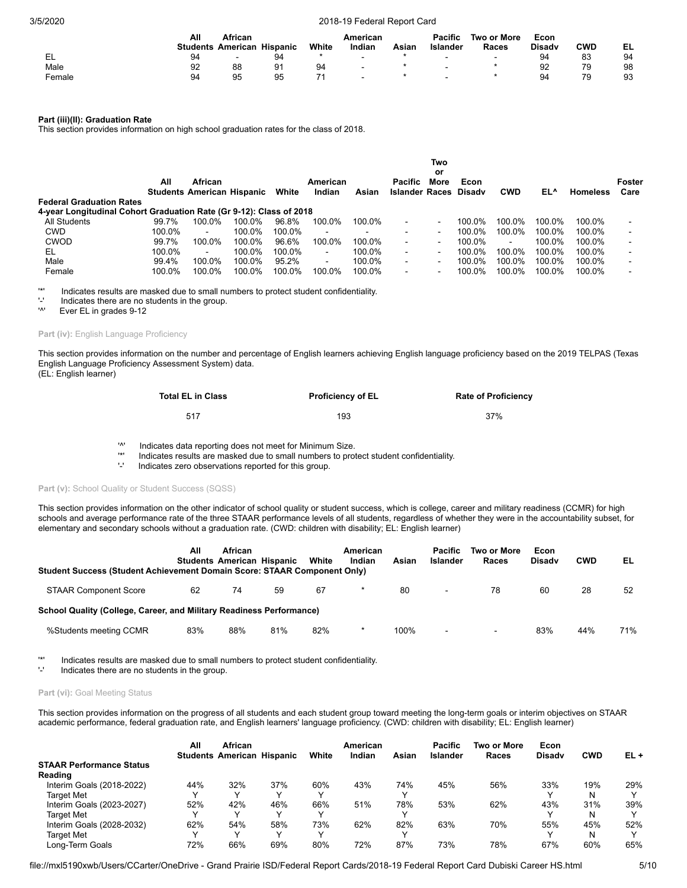|        | All | African                  |          |       | American |       | <b>Pacific</b> | Two or More              | Econ          |            |    |
|--------|-----|--------------------------|----------|-------|----------|-------|----------------|--------------------------|---------------|------------|----|
|        |     | <b>Students American</b> | Hispanic | White | Indian   | Asiar | Islander       | Races                    | <b>Disady</b> | <b>CWD</b> | EL |
| EL     | 94  |                          | 94       |       | $\sim$   |       | -              | $\overline{\phantom{0}}$ | 94            | 83         | 94 |
| Male   | 92  | 88                       | 91       | 94    | $\sim$   |       | -              |                          | 92            | 79         | 98 |
| Female | 94  | 95                       | 95       |       | $\,$     |       |                |                          | 94            | 79         | 93 |

# **Part (iii)(II): Graduation Rate**

This section provides information on high school graduation rates for the class of 2018.

|                                                                     |        |                                                     |        |        |                          |                          |                                  | Two                      |        |            |        |                 |                |
|---------------------------------------------------------------------|--------|-----------------------------------------------------|--------|--------|--------------------------|--------------------------|----------------------------------|--------------------------|--------|------------|--------|-----------------|----------------|
|                                                                     | All    | <b>African</b><br><b>Students American Hispanic</b> |        | White  | American<br>Indian       | Asian                    | Pacific<br>Islander Races Disady | or<br>More               | Econ   | <b>CWD</b> | EL^    | <b>Homeless</b> | Foster<br>Care |
| <b>Federal Graduation Rates</b>                                     |        |                                                     |        |        |                          |                          |                                  |                          |        |            |        |                 |                |
| 4-year Longitudinal Cohort Graduation Rate (Gr 9-12): Class of 2018 |        |                                                     |        |        |                          |                          |                                  |                          |        |            |        |                 |                |
| All Students                                                        | 99.7%  | 100.0%                                              | 100.0% | 96.8%  | 100.0%                   | 100.0%                   | $\blacksquare$                   | $\overline{\phantom{a}}$ | 100.0% | 100.0%     | 100.0% | 100.0%          |                |
| <b>CWD</b>                                                          | 100.0% | $\blacksquare$                                      | 100.0% | 100.0% | $\overline{\phantom{a}}$ | $\overline{\phantom{0}}$ | $\blacksquare$                   | $\blacksquare$           | 100.0% | 100.0%     | 100.0% | 100.0%          |                |
| <b>CWOD</b>                                                         | 99.7%  | 100.0%                                              | 100.0% | 96.6%  | 100.0%                   | 100.0%                   | $\blacksquare$                   | $\blacksquare$           | 100.0% | $\sim$     | 100.0% | 100.0%          |                |
| EL                                                                  | 100.0% | $\blacksquare$                                      | 100.0% | 100.0% | $\blacksquare$           | 100.0%                   | $\blacksquare$                   | $\blacksquare$           | 100.0% | 100.0%     | 100.0% | 100.0%          |                |
| Male                                                                | 99.4%  | 100.0%                                              | 100.0% | 95.2%  | $\blacksquare$           | 100.0%                   | $\blacksquare$                   | $\blacksquare$           | 100.0% | 100.0%     | 100.0% | 100.0%          |                |
| Female                                                              | 100.0% | 100.0%                                              | 100.0% | 100.0% | 100.0%                   | 100.0%                   | $\blacksquare$                   | $\overline{\phantom{a}}$ | 100.0% | 100.0%     | 100.0% | 100.0%          |                |

'\*' Indicates results are masked due to small numbers to protect student confidentiality.

 $'$ -' Indicates there are no students in the group.<br>'<sup>N'</sup> Ever El in grades 9-12

Ever EL in grades 9-12

### Part (iv): English Language Proficiency

This section provides information on the number and percentage of English learners achieving English language proficiency based on the 2019 TELPAS (Texas English Language Proficiency Assessment System) data. (EL: English learner)

| <b>Total EL in Class</b> | <b>Proficiency of EL</b> | <b>Rate of Proficiency</b> |
|--------------------------|--------------------------|----------------------------|
| 517                      | 193                      | 37%                        |

'^' Indicates data reporting does not meet for Minimum Size.

'\*' Indicates results are masked due to small numbers to protect student confidentiality.

Indicates zero observations reported for this group.

### Part (v): School Quality or Student Success (SQSS)

This section provides information on the other indicator of school quality or student success, which is college, career and military readiness (CCMR) for high schools and average performance rate of the three STAAR performance levels of all students, regardless of whether they were in the accountability subset, for elementary and secondary schools without a graduation rate. (CWD: children with disability; EL: English learner)

| Student Success (Student Achievement Domain Score: STAAR Component Only) | All | <b>African</b><br><b>Students American Hispanic</b> |     | White | American<br>Indian | Asian | Pacific<br>Islander | Two or More<br>Races | Econ<br><b>Disadv</b> | <b>CWD</b> | EL  |
|--------------------------------------------------------------------------|-----|-----------------------------------------------------|-----|-------|--------------------|-------|---------------------|----------------------|-----------------------|------------|-----|
| <b>STAAR Component Score</b>                                             | 62  | 74                                                  | 59  | 67    | $\star$            | 80    | $\blacksquare$      | 78                   | 60                    | 28         | 52  |
| School Quality (College, Career, and Military Readiness Performance)     |     |                                                     |     |       |                    |       |                     |                      |                       |            |     |
| %Students meeting CCMR                                                   | 83% | 88%                                                 | 81% | 82%   | *                  | 100%  | ٠                   | $\sim$               | 83%                   | 44%        | 71% |

'\*' Indicates results are masked due to small numbers to protect student confidentiality.

Indicates there are no students in the group.

# Part (vi): Goal Meeting Status

This section provides information on the progress of all students and each student group toward meeting the long-term goals or interim objectives on STAAR academic performance, federal graduation rate, and English learners' language proficiency. (CWD: children with disability; EL: English learner)

|                                 | All | African                           |     |              | American |       | <b>Pacific</b>  | Two or More | Econ          |            |              |
|---------------------------------|-----|-----------------------------------|-----|--------------|----------|-------|-----------------|-------------|---------------|------------|--------------|
|                                 |     | <b>Students American Hispanic</b> |     | White        | Indian   | Asian | <b>Islander</b> | Races       | <b>Disady</b> | <b>CWD</b> | EL+          |
| <b>STAAR Performance Status</b> |     |                                   |     |              |          |       |                 |             |               |            |              |
| Reading                         |     |                                   |     |              |          |       |                 |             |               |            |              |
| Interim Goals (2018-2022)       | 44% | 32%                               | 37% | 60%          | 43%      | 74%   | 45%             | 56%         | 33%           | 19%        | 29%          |
| <b>Target Met</b>               |     | v                                 |     |              |          |       |                 |             |               |            |              |
| Interim Goals (2023-2027)       | 52% | 42%                               | 46% | 66%          | 51%      | 78%   | 53%             | 62%         | 43%           | 31%        | 39%          |
| <b>Target Met</b>               |     | ◡                                 |     |              |          |       |                 |             |               |            | $\checkmark$ |
| Interim Goals (2028-2032)       | 62% | 54%                               | 58% | 73%          | 62%      | 82%   | 63%             | 70%         | 55%           | 45%        | 52%          |
| <b>Target Met</b>               |     | ◡                                 | v   | $\checkmark$ |          |       |                 |             |               | N          | $\checkmark$ |
| Long-Term Goals                 | 72% | 66%                               | 69% | 80%          | 72%      | 87%   | 73%             | 78%         | 67%           | 60%        | 65%          |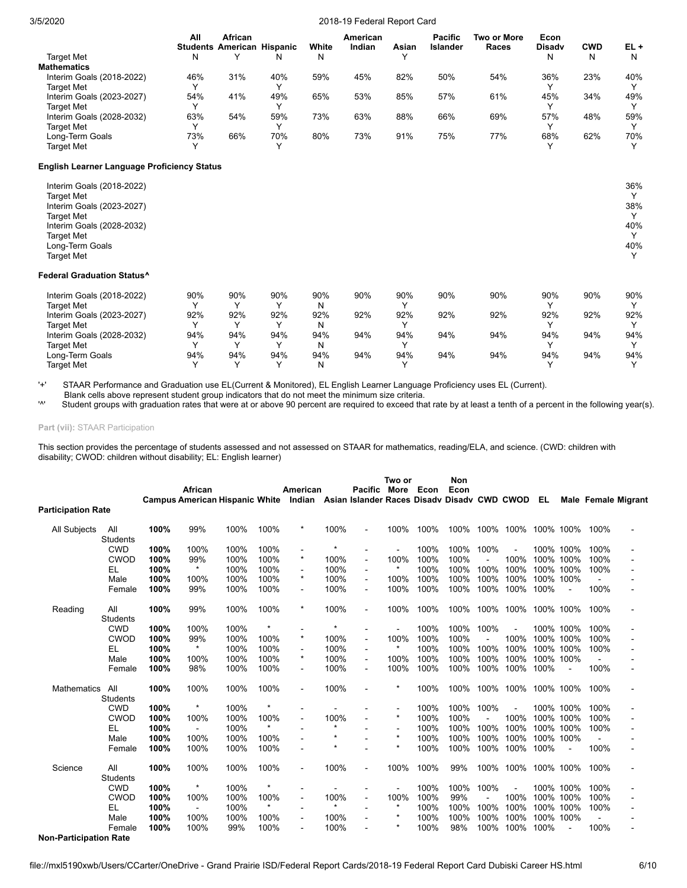|                           | All | African<br><b>Students American Hispanic</b> |     | White | American<br>Indian | Asian<br>$\checkmark$ | <b>Pacific</b><br>Islander | Two or More<br>Races | Econ<br><b>Disady</b> | <b>CWD</b> | $EL +$       |
|---------------------------|-----|----------------------------------------------|-----|-------|--------------------|-----------------------|----------------------------|----------------------|-----------------------|------------|--------------|
| Target Met                | N   |                                              |     | N     |                    |                       |                            |                      | N                     | N          | N            |
| <b>Mathematics</b>        |     |                                              |     |       |                    |                       |                            |                      |                       |            |              |
| Interim Goals (2018-2022) | 46% | 31%                                          | 40% | 59%   | 45%                | 82%                   | 50%                        | 54%                  | 36%                   | 23%        | 40%          |
| <b>Target Met</b>         |     |                                              |     |       |                    |                       |                            |                      |                       |            | $\checkmark$ |
| Interim Goals (2023-2027) | 54% | 41%                                          | 49% | 65%   | 53%                | 85%                   | 57%                        | 61%                  | 45%                   | 34%        | 49%          |
| Target Met                |     |                                              |     |       |                    |                       |                            |                      |                       |            | $\checkmark$ |
| Interim Goals (2028-2032) | 63% | 54%                                          | 59% | 73%   | 63%                | 88%                   | 66%                        | 69%                  | 57%                   | 48%        | 59%          |
| Target Met                |     |                                              |     |       |                    |                       |                            |                      |                       |            |              |
| Long-Term Goals           | 73% | 66%                                          | 70% | 80%   | 73%                | 91%                   | 75%                        | 77%                  | 68%                   | 62%        | 70%          |
| Target Met                |     |                                              |     |       |                    |                       |                            |                      |                       |            |              |

# **English Learner Language Proficiency Status**

| Interim Goals (2018-2022)<br><b>Target Met</b> | 36%<br>$\checkmark$ |
|------------------------------------------------|---------------------|
| Interim Goals (2023-2027)                      | 38%                 |
| <b>Target Met</b>                              | $\sqrt{}$           |
| Interim Goals (2028-2032)                      | 40%                 |
| <b>Target Met</b>                              | $\checkmark$        |
| Long-Term Goals                                | 40%                 |
| <b>Target Met</b>                              | $\sqrt{}$           |

#### **Federal Graduation Status^**

| Interim Goals (2018-2022) | 90% | 90% | 90% | 90% | 90% | 90% | 90% | 90% | 90% | 90% | 90% |
|---------------------------|-----|-----|-----|-----|-----|-----|-----|-----|-----|-----|-----|
| <b>Target Met</b>         |     |     |     | N   |     |     |     |     |     |     |     |
| Interim Goals (2023-2027) | 92% | 92% | 92% | 92% | 92% | 92% | 92% | 92% | 92% | 92% | 92% |
| <b>Target Met</b>         |     |     |     | N   |     |     |     |     |     |     |     |
| Interim Goals (2028-2032) | 94% | 94% | 94% | 94% | 94% | 94% | 94% | 94% | 94% | 94% | 94% |
| <b>Target Met</b>         |     |     |     | N   |     |     |     |     |     |     |     |
| Long-Term Goals           | 94% | 94% | 94% | 94% | 94% | 94% | 94% | 94% | 94% | 94% | 94% |
| <b>Target Met</b>         |     |     |     | N   |     |     |     |     |     |     |     |

'+' STAAR Performance and Graduation use EL(Current & Monitored), EL English Learner Language Proficiency uses EL (Current). Blank cells above represent student group indicators that do not meet the minimum size criteria.<br>
Number of the minimum size criteria.<br>
Number of the minimum size criteria.

Student groups with graduation rates that were at or above 90 percent are required to exceed that rate by at least a tenth of a percent in the following year(s).

**Part (vii):** STAAR Participation

This section provides the percentage of students assessed and not assessed on STAAR for mathematics, reading/ELA, and science. (CWD: children with disability; CWOD: children without disability; EL: English learner)

|                               |                 |      | African        | Campus American Hispanic White Indian Asian Islander Races Disady Disady CWD CWOD |         | American       |                | <b>Pacific</b>           | Two or<br>More | Econ | <b>Non</b><br>Econ |      |      | EL        |                | Male Female Migrant |
|-------------------------------|-----------------|------|----------------|-----------------------------------------------------------------------------------|---------|----------------|----------------|--------------------------|----------------|------|--------------------|------|------|-----------|----------------|---------------------|
| <b>Participation Rate</b>     |                 |      |                |                                                                                   |         |                |                |                          |                |      |                    |      |      |           |                |                     |
| All Subjects                  | All             | 100% | 99%            | 100%                                                                              | 100%    | $\ast$         | 100%           | $\overline{\phantom{a}}$ | 100%           | 100% | 100%               | 100% | 100% | 100% 100% | 100%           |                     |
|                               | <b>Students</b> |      |                |                                                                                   |         |                |                |                          |                |      |                    |      |      |           |                |                     |
|                               | <b>CWD</b>      | 100% | 100%           | 100%                                                                              | 100%    | $\blacksquare$ | $\star$        | ÷                        | ÷.             | 100% | 100%               | 100% | ÷.   | 100% 100% | 100%           |                     |
|                               | CWOD            | 100% | 99%            | 100%                                                                              | 100%    | $\star$        | 100%           | $\overline{\phantom{a}}$ | 100%           | 100% | 100%               |      | 100% | 100% 100% | 100%           |                     |
|                               | EL              | 100% | $\star$        | 100%                                                                              | 100%    |                | 100%           | $\blacksquare$           |                | 100% | 100%               | 100% | 100% | 100% 100% | 100%           |                     |
|                               | Male            | 100% | 100%           | 100%                                                                              | 100%    | $\star$        | 100%           | $\blacksquare$           | 100%           | 100% | 100%               | 100% | 100% | 100% 100% |                |                     |
|                               | Female          | 100% | 99%            | 100%                                                                              | 100%    | $\blacksquare$ | 100%           | ٠                        | 100%           | 100% | 100%               | 100% | 100% | 100%      | 100%           |                     |
| Reading                       | All             | 100% | 99%            | 100%                                                                              | 100%    | $\star$        | 100%           | $\blacksquare$           | 100%           | 100% | 100%               | 100% | 100% | 100% 100% | 100%           |                     |
|                               | <b>Students</b> |      |                |                                                                                   |         |                |                |                          |                |      |                    |      |      |           |                |                     |
|                               | <b>CWD</b>      | 100% | 100%           | 100%                                                                              |         |                | $\star$        |                          |                | 100% | 100%               | 100% |      | 100% 100% | 100%           |                     |
|                               | <b>CWOD</b>     | 100% | 99%            | 100%                                                                              | 100%    | $\star$        | 100%           | $\blacksquare$           | 100%           | 100% | 100%               |      | 100% | 100% 100% | 100%           |                     |
|                               | EL              | 100% | $\star$        | 100%                                                                              | 100%    |                | 100%           | $\overline{\phantom{a}}$ |                | 100% | 100%               | 100% | 100% | 100% 100% | 100%           |                     |
|                               | Male            | 100% | 100%           | 100%                                                                              | 100%    | $\star$        | 100%           | $\blacksquare$           | 100%           | 100% | 100%               | 100% | 100% | 100% 100% |                |                     |
|                               | Female          | 100% | 98%            | 100%                                                                              | 100%    | $\blacksquare$ | 100%           | $\sim$                   | 100%           | 100% | 100%               | 100% | 100% | 100%      | 100%           |                     |
| <b>Mathematics</b>            | All             | 100% | 100%           | 100%                                                                              | 100%    | $\blacksquare$ | 100%           | Ē,                       | $\star$        | 100% | 100%               | 100% | 100% | 100% 100% | 100%           |                     |
|                               | <b>Students</b> |      |                |                                                                                   |         |                |                |                          |                |      |                    |      |      |           |                |                     |
|                               | <b>CWD</b>      | 100% | $\star$        | 100%                                                                              |         |                |                |                          | $\blacksquare$ | 100% | 100%               | 100% |      | 100% 100% | 100%           |                     |
|                               | CWOD            | 100% | 100%           | 100%                                                                              | 100%    | $\overline{a}$ | 100%           |                          | $\star$        | 100% | 100%               |      | 100% | 100% 100% | 100%           |                     |
|                               | EL              | 100% | $\sim$         | 100%                                                                              |         |                | $\star$        |                          |                | 100% | 100%               | 100% | 100% | 100% 100% | 100%           |                     |
|                               | Male            | 100% | 100%           | 100%                                                                              | 100%    |                | $\star$        |                          | $\star$        | 100% | 100%               | 100% | 100% | 100% 100% |                |                     |
|                               | Female          | 100% | 100%           | 100%                                                                              | 100%    |                | $\star$        |                          | $\star$        | 100% | 100%               | 100% | 100% | 100%      | 100%           |                     |
| Science                       | All             | 100% | 100%           | 100%                                                                              | 100%    | $\blacksquare$ | 100%           | $\blacksquare$           | 100%           | 100% | 99%                | 100% | 100% | 100% 100% | 100%           |                     |
|                               | <b>Students</b> |      |                |                                                                                   |         |                |                |                          |                |      |                    |      |      |           |                |                     |
|                               | <b>CWD</b>      | 100% | $\star$        | 100%                                                                              |         |                | $\overline{a}$ |                          | $\blacksquare$ | 100% | 100%               | 100% |      | 100% 100% | 100%           |                     |
|                               | <b>CWOD</b>     | 100% | 100%           | 100%                                                                              | 100%    | $\blacksquare$ | 100%           | $\blacksquare$           | 100%           | 100% | 99%                |      | 100% | 100% 100% | 100%           |                     |
|                               | EL              | 100% | $\blacksquare$ | 100%                                                                              | $\star$ |                | $\star$        |                          | $\star$        | 100% | 100%               | 100% | 100% | 100% 100% | 100%           |                     |
|                               | Male            | 100% | 100%           | 100%                                                                              | 100%    | $\blacksquare$ | 100%           | $\overline{\phantom{a}}$ | $\star$        | 100% | 100%               | 100% | 100% | 100% 100% | $\blacksquare$ |                     |
|                               | Female          | 100% | 100%           | 99%                                                                               | 100%    |                | 100%           | Ē,                       | $\star$        | 100% | 98%                | 100% | 100% | 100%      | 100%           |                     |
| <b>Non-Participation Rate</b> |                 |      |                |                                                                                   |         |                |                |                          |                |      |                    |      |      |           |                |                     |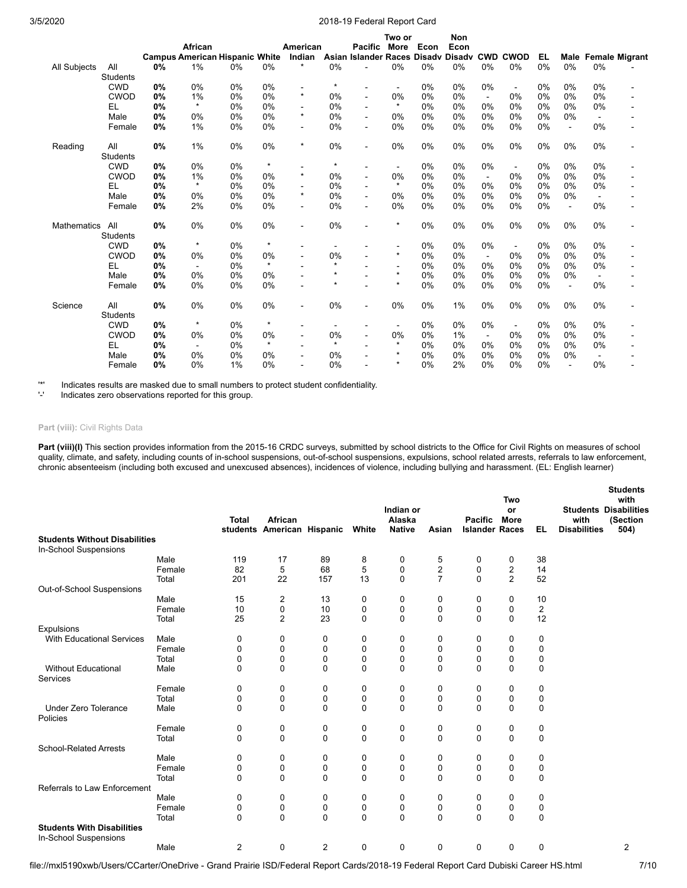|                    |                        |    | African | <b>Campus American Hispanic White</b> |         | American<br>Indian |         | Pacific<br>Asian Islander Races Disady Disady | Two or<br>More               | Econ | Non<br>Econ |                | <b>CWD CWOD</b> | <b>EL</b> |                |                | <b>Male Female Migrant</b> |
|--------------------|------------------------|----|---------|---------------------------------------|---------|--------------------|---------|-----------------------------------------------|------------------------------|------|-------------|----------------|-----------------|-----------|----------------|----------------|----------------------------|
| All Subjects       | All                    | 0% | 1%      | 0%                                    | 0%      | $\star$            | 0%      |                                               | 0%                           | 0%   | 0%          | 0%             | 0%              | 0%        | 0%             | 0%             |                            |
|                    | <b>Students</b>        |    |         |                                       |         |                    |         |                                               |                              |      |             |                |                 |           |                |                |                            |
|                    | <b>CWD</b>             | 0% | 0%      | 0%                                    | 0%      | $\blacksquare$     | $\star$ | $\overline{\phantom{a}}$                      | $\blacksquare$               | 0%   | 0%          | 0%             | $\blacksquare$  | 0%        | 0%             | 0%             | $\overline{a}$             |
|                    | <b>CWOD</b>            | 0% | 1%      | 0%                                    | 0%      | $\star$            | 0%      | $\blacksquare$                                | 0%                           | 0%   | 0%          | $\blacksquare$ | 0%              | 0%        | 0%             | 0%             |                            |
|                    | EL.                    | 0% | $\star$ | 0%                                    | 0%      | $\overline{a}$     | 0%      | $\blacksquare$                                | $\star$                      | 0%   | 0%          | 0%             | 0%              | 0%        | 0%             | 0%             |                            |
|                    | Male                   | 0% | 0%      | 0%                                    | 0%      | $\star$            | 0%      | ÷                                             | 0%                           | 0%   | 0%          | 0%             | 0%              | 0%        | 0%             | $\blacksquare$ |                            |
|                    | Female                 | 0% | 1%      | 0%                                    | 0%      | $\blacksquare$     | 0%      | $\sim$                                        | 0%                           | 0%   | 0%          | 0%             | 0%              | 0%        | $\sim$         | 0%             |                            |
| Reading            | All<br><b>Students</b> | 0% | 1%      | 0%                                    | 0%      | $\star$            | 0%      | $\blacksquare$                                | 0%                           | 0%   | 0%          | 0%             | 0%              | 0%        | 0%             | 0%             |                            |
|                    | <b>CWD</b>             | 0% | 0%      | 0%                                    | $\star$ |                    | $\star$ |                                               | $\qquad \qquad \blacksquare$ | 0%   | 0%          | $0\%$          | $\blacksquare$  | 0%        | 0%             | 0%             |                            |
|                    | <b>CWOD</b>            | 0% | 1%      | 0%                                    | 0%      | $\star$            | 0%      | $\blacksquare$                                | 0%                           | 0%   | 0%          | $\blacksquare$ | 0%              | 0%        | 0%             | 0%             |                            |
|                    | EL                     | 0% | $\star$ | 0%                                    | 0%      | $\blacksquare$     | 0%      |                                               | $\star$                      | 0%   | 0%          | 0%             | 0%              | 0%        | 0%             | 0%             |                            |
|                    | Male                   | 0% | 0%      | 0%                                    | 0%      | $\star$            | 0%      | $\blacksquare$                                | 0%                           | 0%   | 0%          | 0%             | 0%              | 0%        | 0%             |                |                            |
|                    | Female                 | 0% | 2%      | 0%                                    | 0%      | $\sim$             | 0%      | $\sim$                                        | 0%                           | 0%   | 0%          | 0%             | 0%              | 0%        | $\blacksquare$ | 0%             |                            |
| <b>Mathematics</b> | All<br><b>Students</b> | 0% | 0%      | 0%                                    | 0%      | $\blacksquare$     | 0%      | $\blacksquare$                                | $\star$                      | 0%   | 0%          | 0%             | 0%              | 0%        | 0%             | 0%             |                            |
|                    | <b>CWD</b>             | 0% | $\star$ | 0%                                    | $\star$ |                    |         |                                               |                              | 0%   | 0%          | 0%             | $\blacksquare$  | 0%        | 0%             | 0%             |                            |
|                    | CWOD                   | 0% | 0%      | 0%                                    | 0%      |                    | 0%      |                                               | $\star$                      | 0%   | 0%          | $\blacksquare$ | 0%              | 0%        | 0%             | 0%             |                            |
|                    | <b>EL</b>              | 0% | $\sim$  | 0%                                    | $\star$ |                    | $\star$ |                                               | $\qquad \qquad \blacksquare$ | 0%   | 0%          | 0%             | 0%              | 0%        | 0%             | 0%             |                            |
|                    | Male                   | 0% | 0%      | 0%                                    | 0%      | $\blacksquare$     | $\star$ |                                               | $\star$                      | 0%   | 0%          | 0%             | 0%              | 0%        | 0%             |                |                            |
|                    | Female                 | 0% | 0%      | 0%                                    | 0%      | $\blacksquare$     | $\star$ |                                               | $\star$                      | 0%   | 0%          | 0%             | 0%              | 0%        | $\blacksquare$ | 0%             |                            |
| Science            | All<br><b>Students</b> | 0% | 0%      | 0%                                    | 0%      | $\blacksquare$     | 0%      |                                               | 0%                           | 0%   | 1%          | 0%             | 0%              | 0%        | 0%             | 0%             |                            |
|                    | <b>CWD</b>             | 0% | $\star$ | 0%                                    | $\star$ | $\blacksquare$     | ٠       | $\overline{\phantom{a}}$                      | $\sim$                       | 0%   | 0%          | 0%             | $\blacksquare$  | 0%        | 0%             | 0%             |                            |
|                    | <b>CWOD</b>            | 0% | 0%      | 0%                                    | 0%      | $\blacksquare$     | 0%      | $\blacksquare$                                | 0%                           | 0%   | 1%          | $\sim$         | 0%              | 0%        | 0%             | 0%             |                            |
|                    | EL                     | 0% |         | 0%                                    | $\star$ | $\blacksquare$     | $\star$ |                                               | $\star$                      | 0%   | 0%          | 0%             | 0%              | 0%        | 0%             | 0%             | ٠                          |
|                    | Male                   | 0% | 0%      | 0%                                    | 0%      | $\blacksquare$     | 0%      | $\blacksquare$                                | $\star$                      | 0%   | 0%          | 0%             | 0%              | 0%        | 0%             | $\blacksquare$ |                            |
|                    | Female                 | 0% | 0%      | 1%                                    | 0%      |                    | 0%      |                                               | $\star$                      | 0%   | 2%          | 0%             | 0%              | 0%        | $\overline{a}$ | 0%             |                            |

'\*' Indicates results are masked due to small numbers to protect student confidentiality.

Indicates zero observations reported for this group.

# **Part (viii):** Civil Rights Data

Part (viii)(I) This section provides information from the 2015-16 CRDC surveys, submitted by school districts to the Office for Civil Rights on measures of school quality, climate, and safety, including counts of in-school suspensions, out-of-school suspensions, expulsions, school related arrests, referrals to law enforcement, chronic absenteeism (including both excused and unexcused absences), incidences of violence, including bullying and harassment. (EL: English learner)

|                                      |        | <b>Total</b>   | African<br>students American Hispanic |                | White       | Indian or<br>Alaska<br><b>Native</b> | Asian          | <b>Pacific</b><br><b>Islander Races</b> | Two<br>or<br><b>More</b> | EL.            | with<br><b>Disabilities</b> | <b>Students</b><br>with<br><b>Students Disabilities</b><br>(Section<br>504) |
|--------------------------------------|--------|----------------|---------------------------------------|----------------|-------------|--------------------------------------|----------------|-----------------------------------------|--------------------------|----------------|-----------------------------|-----------------------------------------------------------------------------|
| <b>Students Without Disabilities</b> |        |                |                                       |                |             |                                      |                |                                         |                          |                |                             |                                                                             |
| In-School Suspensions                |        |                |                                       |                |             |                                      |                |                                         |                          |                |                             |                                                                             |
|                                      | Male   | 119            | 17                                    | 89             | 8           | 0                                    | 5              | 0                                       | 0                        | 38             |                             |                                                                             |
|                                      | Female | 82             | 5                                     | 68             | 5           | 0                                    | $\overline{c}$ | 0                                       | $\boldsymbol{2}$         | 14             |                             |                                                                             |
|                                      | Total  | 201            | 22                                    | 157            | 13          | $\mathbf 0$                          | $\overline{7}$ | $\Omega$                                | $\overline{2}$           | 52             |                             |                                                                             |
| Out-of-School Suspensions            |        |                |                                       |                |             |                                      |                |                                         |                          |                |                             |                                                                             |
|                                      | Male   | 15             | 2                                     | 13             | 0           | 0                                    | 0              | 0                                       | 0                        | 10             |                             |                                                                             |
|                                      | Female | 10             | 0                                     | 10             | $\mathbf 0$ | 0                                    | 0              | 0                                       | $\mathbf 0$              | $\overline{c}$ |                             |                                                                             |
|                                      | Total  | 25             | $\overline{2}$                        | 23             | $\mathbf 0$ | $\mathbf 0$                          | $\Omega$       | $\Omega$                                | $\mathbf 0$              | 12             |                             |                                                                             |
| Expulsions                           |        |                |                                       |                |             |                                      |                |                                         |                          |                |                             |                                                                             |
| <b>With Educational Services</b>     | Male   | 0              | 0                                     | 0              | 0           | 0                                    | 0              | 0                                       | 0                        | 0              |                             |                                                                             |
|                                      | Female | 0              | 0                                     | 0              | 0           | 0                                    | $\Omega$       | 0                                       | 0                        | 0              |                             |                                                                             |
|                                      | Total  | 0              | 0                                     | $\mathbf 0$    | $\mathbf 0$ | 0                                    | $\Omega$       | 0                                       | $\mathbf 0$              | 0              |                             |                                                                             |
| <b>Without Educational</b>           | Male   | $\Omega$       | 0                                     | 0              | 0           | $\mathbf 0$                          | $\Omega$       | $\Omega$                                | 0                        | 0              |                             |                                                                             |
| Services                             |        |                |                                       |                |             |                                      |                |                                         |                          |                |                             |                                                                             |
|                                      | Female | 0              | 0                                     | 0              | 0           | 0                                    | 0              | 0                                       | 0                        | 0              |                             |                                                                             |
|                                      | Total  | 0              | 0                                     | 0              | 0           | 0                                    | 0              | 0                                       | 0                        | 0              |                             |                                                                             |
| Under Zero Tolerance                 | Male   | $\Omega$       | $\Omega$                              | $\Omega$       | 0           | $\mathbf 0$                          | $\Omega$       | $\Omega$                                | $\Omega$                 | $\mathbf 0$    |                             |                                                                             |
| Policies                             |        |                |                                       |                |             |                                      |                |                                         |                          |                |                             |                                                                             |
|                                      | Female | 0              | 0                                     | 0              | 0           | 0                                    | 0              | 0                                       | 0                        | 0              |                             |                                                                             |
|                                      | Total  | $\mathbf 0$    | 0                                     | $\mathbf 0$    | 0           | $\mathbf 0$                          | $\Omega$       | $\Omega$                                | $\Omega$                 | $\mathbf 0$    |                             |                                                                             |
| <b>School-Related Arrests</b>        |        |                |                                       |                |             |                                      |                |                                         |                          |                |                             |                                                                             |
|                                      | Male   | 0              | 0                                     | 0              | 0           | 0                                    | 0              | 0                                       | 0                        | 0              |                             |                                                                             |
|                                      | Female | 0              | 0                                     | 0              | 0           | 0                                    | 0              | 0                                       | 0                        | 0              |                             |                                                                             |
|                                      | Total  | $\Omega$       | $\Omega$                              | $\Omega$       | $\Omega$    | $\mathbf 0$                          | $\mathbf{0}$   | $\Omega$                                | $\Omega$                 | $\mathbf 0$    |                             |                                                                             |
| Referrals to Law Enforcement         |        |                |                                       |                |             |                                      |                |                                         |                          |                |                             |                                                                             |
|                                      | Male   | 0              | 0                                     | 0              | 0           | 0                                    | 0              | 0                                       | 0                        | 0              |                             |                                                                             |
|                                      | Female | 0              | 0                                     | 0              | 0           | 0                                    | 0              | 0                                       | 0                        | 0              |                             |                                                                             |
|                                      | Total  | $\Omega$       | $\Omega$                              | $\Omega$       | $\Omega$    | $\Omega$                             | $\Omega$       | $\mathbf{0}$                            | $\Omega$                 | $\mathbf 0$    |                             |                                                                             |
| <b>Students With Disabilities</b>    |        |                |                                       |                |             |                                      |                |                                         |                          |                |                             |                                                                             |
| In-School Suspensions                |        |                |                                       |                |             |                                      |                |                                         |                          |                |                             |                                                                             |
|                                      | Male   | $\overline{2}$ | 0                                     | $\overline{2}$ | 0           | 0                                    | 0              | 0                                       | $\mathbf 0$              | 0              |                             | 2                                                                           |
|                                      |        |                |                                       |                |             |                                      |                |                                         |                          |                |                             |                                                                             |

**Students**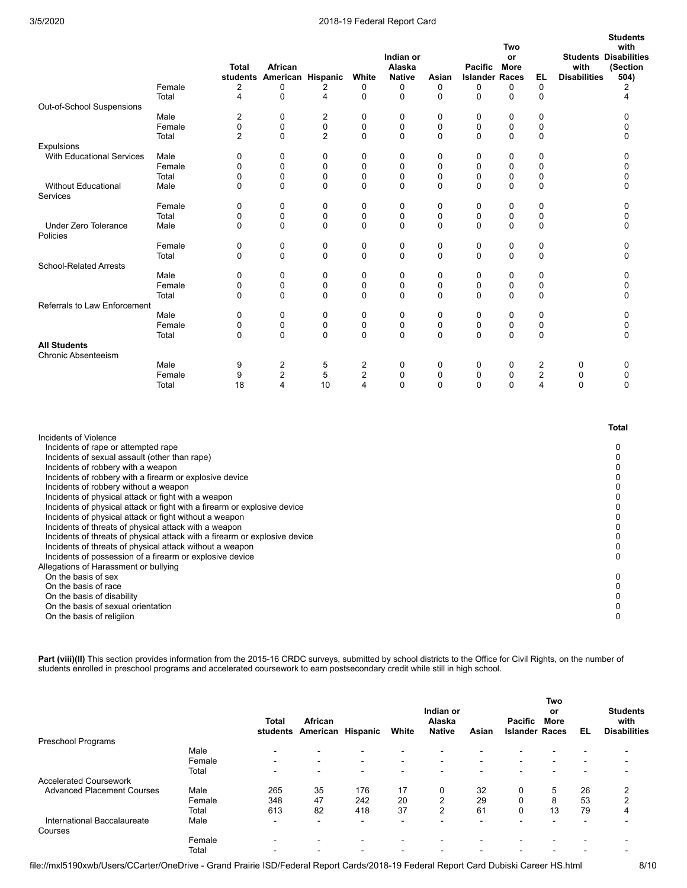|                                                                                                                                                                                                                                                                                                                                                                                                                                                                                                                                                                                                                                                                                                                                                                                                                                                                                     |                 | <b>Total</b>     | African                    |                            |                            | Indian or<br>Alaska |                  | Pacific               | Two<br>or<br>More |                  | with                | <b>Students</b><br>with<br><b>Students Disabilities</b><br>(Section          |
|-------------------------------------------------------------------------------------------------------------------------------------------------------------------------------------------------------------------------------------------------------------------------------------------------------------------------------------------------------------------------------------------------------------------------------------------------------------------------------------------------------------------------------------------------------------------------------------------------------------------------------------------------------------------------------------------------------------------------------------------------------------------------------------------------------------------------------------------------------------------------------------|-----------------|------------------|----------------------------|----------------------------|----------------------------|---------------------|------------------|-----------------------|-------------------|------------------|---------------------|------------------------------------------------------------------------------|
|                                                                                                                                                                                                                                                                                                                                                                                                                                                                                                                                                                                                                                                                                                                                                                                                                                                                                     |                 |                  | students American Hispanic |                            | White                      | <b>Native</b>       | Asian            | <b>Islander Races</b> |                   | EL               | <b>Disabilities</b> | 504)                                                                         |
|                                                                                                                                                                                                                                                                                                                                                                                                                                                                                                                                                                                                                                                                                                                                                                                                                                                                                     | Female          | 2                | 0                          | 2                          | 0                          | 0                   | 0                | 0                     | 0                 | $\mathbf 0$      |                     | 2                                                                            |
|                                                                                                                                                                                                                                                                                                                                                                                                                                                                                                                                                                                                                                                                                                                                                                                                                                                                                     | Total           | $\overline{4}$   | 0                          | 4                          | $\mathbf 0$                | 0                   | $\mathbf 0$      | $\mathbf 0$           | 0                 | $\mathbf 0$      |                     | 4                                                                            |
| Out-of-School Suspensions                                                                                                                                                                                                                                                                                                                                                                                                                                                                                                                                                                                                                                                                                                                                                                                                                                                           |                 |                  |                            |                            |                            |                     |                  |                       |                   |                  |                     |                                                                              |
|                                                                                                                                                                                                                                                                                                                                                                                                                                                                                                                                                                                                                                                                                                                                                                                                                                                                                     | Male<br>Female  | 2<br>$\mathbf 0$ | 0<br>0                     | 2<br>0                     | 0<br>$\mathbf 0$           | 0<br>0              | 0                | 0<br>$\mathbf 0$      | 0<br>0            | $\mathbf 0$<br>0 |                     | 0<br>0                                                                       |
|                                                                                                                                                                                                                                                                                                                                                                                                                                                                                                                                                                                                                                                                                                                                                                                                                                                                                     | Total           | $\overline{2}$   | 0                          | $\overline{2}$             | 0                          | 0                   | 0<br>$\Omega$    | 0                     | 0                 | 0                |                     | 0                                                                            |
| Expulsions                                                                                                                                                                                                                                                                                                                                                                                                                                                                                                                                                                                                                                                                                                                                                                                                                                                                          |                 |                  |                            |                            |                            |                     |                  |                       |                   |                  |                     |                                                                              |
| <b>With Educational Services</b>                                                                                                                                                                                                                                                                                                                                                                                                                                                                                                                                                                                                                                                                                                                                                                                                                                                    | Male            | 0                | 0                          | 0                          | 0                          | 0                   | 0                | 0                     | 0                 | 0                |                     | 0                                                                            |
|                                                                                                                                                                                                                                                                                                                                                                                                                                                                                                                                                                                                                                                                                                                                                                                                                                                                                     | Female          | 0                | 0                          | $\mathbf 0$                | $\mathbf 0$                | 0                   | 0                | 0                     | 0                 | 0                |                     | 0                                                                            |
|                                                                                                                                                                                                                                                                                                                                                                                                                                                                                                                                                                                                                                                                                                                                                                                                                                                                                     | Total           | 0                | 0                          | 0                          | 0                          | 0                   | 0                | 0                     | 0                 | 0                |                     | 0                                                                            |
| <b>Without Educational</b><br><b>Services</b>                                                                                                                                                                                                                                                                                                                                                                                                                                                                                                                                                                                                                                                                                                                                                                                                                                       | Male            | 0                | $\mathbf 0$                | $\mathbf 0$                | 0                          | 0                   | $\mathbf 0$      | $\mathbf 0$           | 0                 | $\mathbf 0$      |                     | 0                                                                            |
|                                                                                                                                                                                                                                                                                                                                                                                                                                                                                                                                                                                                                                                                                                                                                                                                                                                                                     | Female          | 0                | 0                          | 0                          | $\mathbf 0$                | 0                   | 0                | 0                     | 0                 | 0                |                     | 0                                                                            |
|                                                                                                                                                                                                                                                                                                                                                                                                                                                                                                                                                                                                                                                                                                                                                                                                                                                                                     | Total           | 0                | 0                          | 0                          | 0                          | 0                   | 0                | 0                     | 0                 | 0                |                     | 0                                                                            |
| <b>Under Zero Tolerance</b><br>Policies                                                                                                                                                                                                                                                                                                                                                                                                                                                                                                                                                                                                                                                                                                                                                                                                                                             | Male            | 0                | 0                          | $\mathbf 0$                | 0                          | 0                   | $\mathbf 0$      | 0                     | 0                 | 0                |                     | 0                                                                            |
|                                                                                                                                                                                                                                                                                                                                                                                                                                                                                                                                                                                                                                                                                                                                                                                                                                                                                     | Female<br>Total | 0<br>0           | 0<br>$\mathbf 0$           | 0<br>0                     | 0<br>$\mathbf 0$           | 0<br>0              | 0<br>$\mathbf 0$ | 0<br>$\mathbf 0$      | 0<br>0            | 0<br>0           |                     | 0<br>0                                                                       |
| <b>School-Related Arrests</b>                                                                                                                                                                                                                                                                                                                                                                                                                                                                                                                                                                                                                                                                                                                                                                                                                                                       |                 |                  |                            |                            |                            |                     |                  |                       |                   |                  |                     |                                                                              |
|                                                                                                                                                                                                                                                                                                                                                                                                                                                                                                                                                                                                                                                                                                                                                                                                                                                                                     | Male            | 0                | 0                          | 0                          | $\mathbf 0$                | 0                   | 0                | $\mathbf 0$           | 0                 | 0                |                     | 0                                                                            |
|                                                                                                                                                                                                                                                                                                                                                                                                                                                                                                                                                                                                                                                                                                                                                                                                                                                                                     | Female          | 0                | 0                          | $\mathbf 0$                | $\mathbf 0$                | 0                   | 0                | 0                     | 0                 | 0                |                     | 0                                                                            |
|                                                                                                                                                                                                                                                                                                                                                                                                                                                                                                                                                                                                                                                                                                                                                                                                                                                                                     | Total           | $\Omega$         | $\mathbf 0$                | $\mathbf 0$                | $\mathbf 0$                | 0                   | $\mathbf 0$      | $\Omega$              | 0                 | $\mathbf 0$      |                     | 0                                                                            |
| Referrals to Law Enforcement                                                                                                                                                                                                                                                                                                                                                                                                                                                                                                                                                                                                                                                                                                                                                                                                                                                        |                 |                  |                            |                            |                            |                     |                  |                       |                   |                  |                     |                                                                              |
|                                                                                                                                                                                                                                                                                                                                                                                                                                                                                                                                                                                                                                                                                                                                                                                                                                                                                     | Male<br>Female  | 0<br>0           | 0<br>0                     | $\mathbf 0$<br>$\mathbf 0$ | $\mathbf 0$<br>$\mathbf 0$ | 0<br>0              | $\mathbf 0$<br>0 | 0<br>$\mathbf 0$      | 0<br>0            | 0<br>0           |                     | 0<br>0                                                                       |
|                                                                                                                                                                                                                                                                                                                                                                                                                                                                                                                                                                                                                                                                                                                                                                                                                                                                                     | Total           | 0                | 0                          | $\mathbf 0$                | 0                          | 0                   | $\mathbf 0$      | 0                     | 0                 | 0                |                     | 0                                                                            |
| <b>All Students</b>                                                                                                                                                                                                                                                                                                                                                                                                                                                                                                                                                                                                                                                                                                                                                                                                                                                                 |                 |                  |                            |                            |                            |                     |                  |                       |                   |                  |                     |                                                                              |
| <b>Chronic Absenteeism</b>                                                                                                                                                                                                                                                                                                                                                                                                                                                                                                                                                                                                                                                                                                                                                                                                                                                          |                 |                  |                            |                            |                            |                     |                  |                       |                   |                  |                     |                                                                              |
|                                                                                                                                                                                                                                                                                                                                                                                                                                                                                                                                                                                                                                                                                                                                                                                                                                                                                     | Male            | 9                | $\overline{2}$             | 5                          | 2                          | 0                   | 0                | 0                     | 0                 | 2                | 0                   | 0                                                                            |
|                                                                                                                                                                                                                                                                                                                                                                                                                                                                                                                                                                                                                                                                                                                                                                                                                                                                                     | Female          | 9                | $\overline{c}$             | 5                          | $\overline{c}$             | 0                   | 0                | 0                     | 0                 | 2                | 0                   | 0                                                                            |
|                                                                                                                                                                                                                                                                                                                                                                                                                                                                                                                                                                                                                                                                                                                                                                                                                                                                                     | Total           | 18               | 4                          | 10                         | 4                          | 0                   | $\mathbf 0$      | $\mathbf 0$           | 0                 | 4                | 0                   | 0                                                                            |
| Incidents of Violence                                                                                                                                                                                                                                                                                                                                                                                                                                                                                                                                                                                                                                                                                                                                                                                                                                                               |                 |                  |                            |                            |                            |                     |                  |                       |                   |                  |                     | <b>Total</b>                                                                 |
| Incidents of rape or attempted rape<br>Incidents of sexual assault (other than rape)<br>Incidents of robbery with a weapon<br>Incidents of robbery with a firearm or explosive device<br>Incidents of robbery without a weapon<br>Incidents of physical attack or fight with a weapon<br>Incidents of physical attack or fight with a firearm or explosive device<br>Incidents of physical attack or fight without a weapon<br>Incidents of threats of physical attack with a weapon<br>Incidents of threats of physical attack with a firearm or explosive device<br>Incidents of threats of physical attack without a weapon<br>Incidents of possession of a firearm or explosive device<br>Allegations of Harassment or bullying<br>On the basis of sex<br>On the basis of race<br>On the basis of disability<br>On the basis of sexual orientation<br>On the basis of religiion |                 |                  |                            |                            |                            |                     |                  |                       |                   |                  |                     | 0<br>0<br>0<br>0<br>0<br>0<br>0<br>0<br>0<br>0<br>0<br>0<br>0<br>0<br>0<br>0 |

Part (viii)(II) This section provides information from the 2015-16 CRDC surveys, submitted by school districts to the Office for Civil Rights, on the number of students enrolled in preschool programs and accelerated coursework to earn postsecondary credit while still in high school.

|                                   |        | <b>Total</b><br>students | African<br>American      | Hispanic                 | White                    | Indian or<br>Alaska<br><b>Native</b> | Asian                    | Pacific<br><b>Islander Races</b> | <b>Two</b><br>or<br><b>More</b> | EL | <b>Students</b><br>with<br><b>Disabilities</b> |
|-----------------------------------|--------|--------------------------|--------------------------|--------------------------|--------------------------|--------------------------------------|--------------------------|----------------------------------|---------------------------------|----|------------------------------------------------|
| Preschool Programs                |        |                          |                          |                          |                          |                                      |                          |                                  |                                 |    |                                                |
|                                   | Male   | -                        | $\sim$                   |                          | $\overline{\phantom{0}}$ | $\overline{\phantom{0}}$             |                          |                                  |                                 |    |                                                |
|                                   | Female | $\overline{\phantom{0}}$ | $\overline{\phantom{0}}$ | $\overline{\phantom{0}}$ | $\blacksquare$           | $\blacksquare$                       | $\overline{\phantom{0}}$ |                                  | -                               |    |                                                |
|                                   | Total  | $\overline{\phantom{0}}$ | $\sim$                   | -                        | $\overline{\phantom{0}}$ | $\overline{\phantom{0}}$             |                          |                                  |                                 |    |                                                |
| <b>Accelerated Coursework</b>     |        |                          |                          |                          |                          |                                      |                          |                                  |                                 |    |                                                |
| <b>Advanced Placement Courses</b> | Male   | 265                      | 35                       | 176                      | 17                       | 0                                    | 32                       | 0                                | 5                               | 26 | 2                                              |
|                                   | Female | 348                      | 47                       | 242                      | 20                       | $\overline{2}$                       | 29                       |                                  | 8                               | 53 | $\overline{2}$                                 |
|                                   | Total  | 613                      | 82                       | 418                      | 37                       | $\Omega$                             | 61                       | $\Omega$                         | 13                              | 79 | 4                                              |
| International Baccalaureate       | Male   | $\overline{\phantom{0}}$ | $\overline{\phantom{0}}$ | $\overline{\phantom{0}}$ | $\overline{\phantom{a}}$ | $\overline{\phantom{0}}$             |                          |                                  |                                 |    |                                                |
| Courses                           |        |                          |                          |                          |                          |                                      |                          |                                  |                                 |    |                                                |
|                                   | Female | -                        | $\sim$                   |                          | $\overline{\phantom{0}}$ | $\overline{\phantom{0}}$             |                          |                                  |                                 |    |                                                |
|                                   | Total  | -                        | -                        |                          | $\overline{\phantom{a}}$ | $\overline{\phantom{0}}$             |                          |                                  |                                 |    |                                                |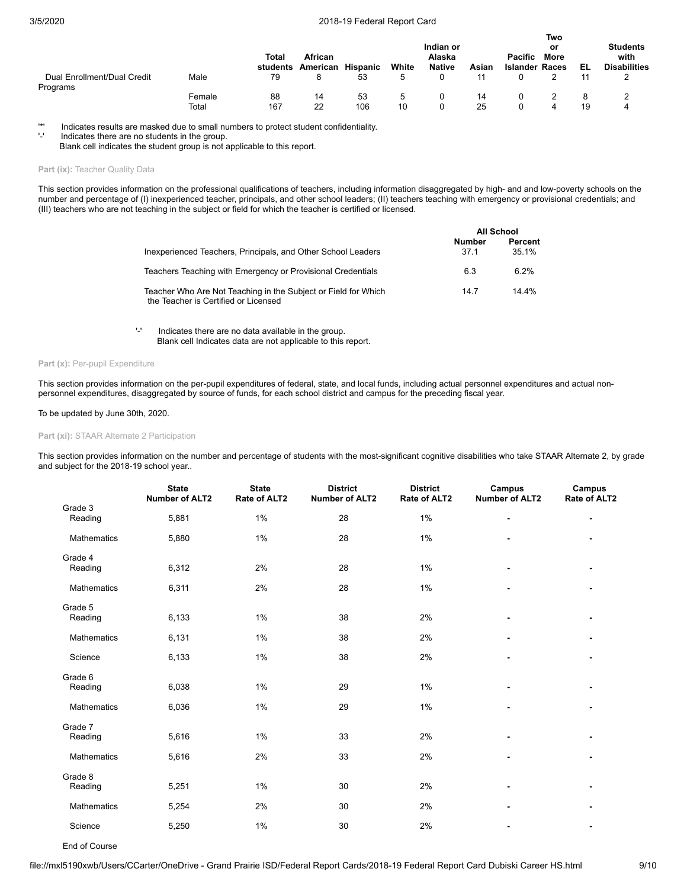|                                         |                 | Total<br>students | African<br>American | Hispanic  | White    | Indian or<br>Alaska<br><b>Native</b> | Asian    | Pacific<br><b>Islander Races</b> | Two<br>or<br>More | EL | <b>Students</b><br>with<br><b>Disabilities</b> |
|-----------------------------------------|-----------------|-------------------|---------------------|-----------|----------|--------------------------------------|----------|----------------------------------|-------------------|----|------------------------------------------------|
| Dual Enrollment/Dual Credit<br>Programs | Male            | 79                |                     | 53        | 5        |                                      | 11       |                                  |                   | 11 |                                                |
|                                         | Female<br>Total | 88<br>167         | 14<br>22            | 53<br>106 | 5.<br>10 |                                      | 14<br>25 |                                  |                   | 19 | 4                                              |

'\*' Indicates results are masked due to small numbers to protect student confidentiality.

Indicates there are no students in the group.

Blank cell indicates the student group is not applicable to this report.

### Part (ix): Teacher Quality Data

This section provides information on the professional qualifications of teachers, including information disaggregated by high- and and low-poverty schools on the number and percentage of (I) inexperienced teacher, principals, and other school leaders; (II) teachers teaching with emergency or provisional credentials; and (III) teachers who are not teaching in the subject or field for which the teacher is certified or licensed.

|                                                                                                        |                | All School       |
|--------------------------------------------------------------------------------------------------------|----------------|------------------|
| Inexperienced Teachers, Principals, and Other School Leaders                                           | Number<br>37.1 | Percent<br>35.1% |
| Teachers Teaching with Emergency or Provisional Credentials                                            | 6.3            | 6 2%             |
| Teacher Who Are Not Teaching in the Subject or Field for Which<br>the Teacher is Certified or Licensed | 147            | $14.4\%$         |

'-' Indicates there are no data available in the group. Blank cell Indicates data are not applicable to this report.

### Part (x): Per-pupil Expenditure

This section provides information on the per-pupil expenditures of federal, state, and local funds, including actual personnel expenditures and actual nonpersonnel expenditures, disaggregated by source of funds, for each school district and campus for the preceding fiscal year.

# To be updated by June 30th, 2020.

### **Part (xi):** STAAR Alternate 2 Participation

This section provides information on the number and percentage of students with the most-significant cognitive disabilities who take STAAR Alternate 2, by grade and subject for the 2018-19 school year..

|                    | <b>State</b><br><b>Number of ALT2</b> | <b>State</b><br>Rate of ALT2 | <b>District</b><br><b>Number of ALT2</b> | <b>District</b><br>Rate of ALT2 | Campus<br><b>Number of ALT2</b> | Campus<br>Rate of ALT2 |
|--------------------|---------------------------------------|------------------------------|------------------------------------------|---------------------------------|---------------------------------|------------------------|
| Grade 3<br>Reading | 5,881                                 | 1%                           | 28                                       | 1%                              | $\qquad \qquad \blacksquare$    |                        |
| Mathematics        | 5,880                                 | 1%                           | 28                                       | 1%                              |                                 |                        |
| Grade 4<br>Reading | 6,312                                 | 2%                           | 28                                       | 1%                              | $\blacksquare$                  |                        |
| <b>Mathematics</b> | 6,311                                 | 2%                           | 28                                       | 1%                              | $\qquad \qquad \blacksquare$    | $\blacksquare$         |
| Grade 5<br>Reading | 6,133                                 | 1%                           | 38                                       | 2%                              |                                 |                        |
| <b>Mathematics</b> | 6,131                                 | 1%                           | 38                                       | 2%                              | $\blacksquare$                  |                        |
| Science            | 6,133                                 | 1%                           | 38                                       | 2%                              | $\blacksquare$                  |                        |
| Grade 6<br>Reading | 6,038                                 | 1%                           | 29                                       | 1%                              |                                 |                        |
| <b>Mathematics</b> | 6,036                                 | 1%                           | 29                                       | 1%                              |                                 |                        |
| Grade 7<br>Reading | 5,616                                 | $1\%$                        | 33                                       | 2%                              |                                 |                        |
| Mathematics        | 5,616                                 | 2%                           | 33                                       | 2%                              | ٠                               |                        |
| Grade 8<br>Reading | 5,251                                 | $1\%$                        | 30                                       | 2%                              |                                 |                        |
| Mathematics        | 5,254                                 | 2%                           | 30                                       | 2%                              |                                 |                        |
| Science            | 5,250                                 | 1%                           | 30                                       | 2%                              |                                 |                        |

End of Course